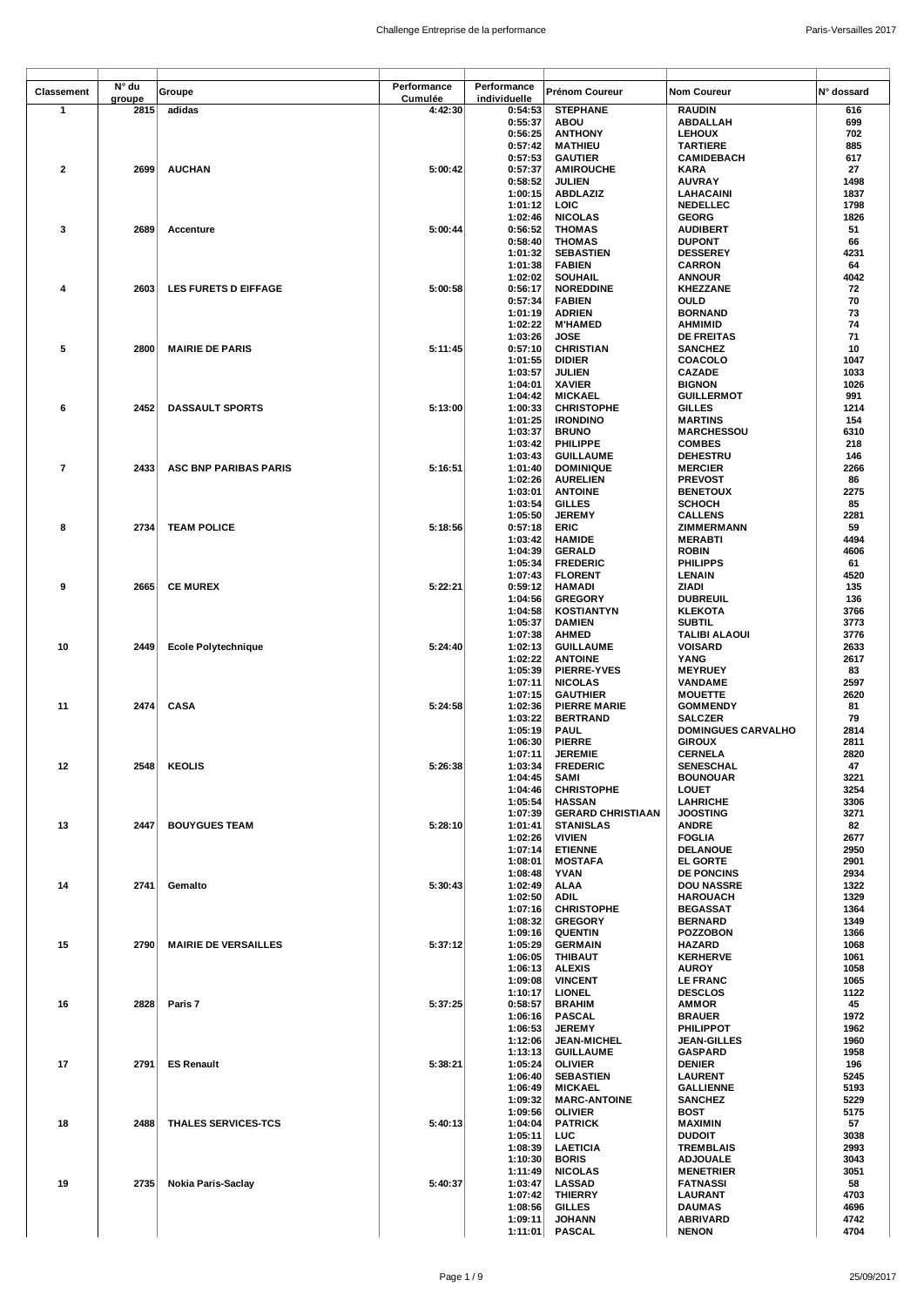| <b>Classement</b>       | N° du  | Groupe                      | Performance | Performance        | <b>Prénom Coureur</b>               | <b>Nom Coureur</b>                    | N° dossard   |
|-------------------------|--------|-----------------------------|-------------|--------------------|-------------------------------------|---------------------------------------|--------------|
|                         | groupe |                             | Cumulée     | individuelle       |                                     |                                       |              |
| $\mathbf{1}$            | 2815   | adidas                      | 4:42:30     | 0:54:53            | <b>STEPHANE</b>                     | <b>RAUDIN</b>                         | 616          |
|                         |        |                             |             | 0:55:37<br>0:56:25 | <b>ABOU</b><br><b>ANTHONY</b>       | ABDALLAH<br><b>LEHOUX</b>             | 699<br>702   |
|                         |        |                             |             | 0:57:42            | <b>MATHIEU</b>                      | <b>TARTIERE</b>                       | 885          |
|                         |        |                             |             | 0:57:53            | <b>GAUTIER</b>                      | CAMIDEBACH                            | 617          |
| $\overline{\mathbf{2}}$ | 2699   | <b>AUCHAN</b>               | 5:00:42     | 0:57:37            | <b>AMIROUCHE</b>                    | KARA                                  | 27           |
|                         |        |                             |             | 0:58:52            | <b>JULIEN</b>                       | <b>AUVRAY</b>                         | 1498         |
|                         |        |                             |             | 1:00:15            | <b>ABDLAZIZ</b>                     | LAHACAINI                             | 1837         |
|                         |        |                             |             | 1:01:12            | LOIC                                | <b>NEDELLEC</b>                       | 1798         |
|                         |        |                             |             | 1:02:46            | <b>NICOLAS</b>                      | <b>GEORG</b>                          | 1826         |
| 3                       | 2689   | Accenture                   | 5:00:44     | 0:56:52            | <b>THOMAS</b>                       | <b>AUDIBERT</b>                       | 51           |
|                         |        |                             |             | 0:58:40            | <b>THOMAS</b>                       | <b>DUPONT</b>                         | 66           |
|                         |        |                             |             | 1:01:32            | <b>SEBASTIEN</b>                    | <b>DESSEREY</b>                       | 4231         |
|                         |        |                             |             | 1:01:38            | <b>FABIEN</b>                       | <b>CARRON</b>                         | 64           |
|                         |        |                             |             | 1:02:02            | <b>SOUHAIL</b>                      | <b>ANNOUR</b>                         | 4042         |
| 4                       | 2603   | <b>LES FURETS D EIFFAGE</b> | 5:00:58     | 0:56:17<br>0:57:34 | <b>NOREDDINE</b><br><b>FABIEN</b>   | <b>KHEZZANE</b><br>OULD               | 72<br>70     |
|                         |        |                             |             | 1:01:19            | <b>ADRIEN</b>                       | <b>BORNAND</b>                        | 73           |
|                         |        |                             |             | 1:02:22            | <b>M'HAMED</b>                      | <b>AHMIMID</b>                        | 74           |
|                         |        |                             |             | 1:03:26            | JOSE                                | <b>DE FREITAS</b>                     | 71           |
| 5                       | 2800   | <b>MAIRIE DE PARIS</b>      | 5:11:45     | 0:57:10            | <b>CHRISTIAN</b>                    | <b>SANCHEZ</b>                        | 10           |
|                         |        |                             |             | 1:01:55            | <b>DIDIER</b>                       | COACOLO                               | 1047         |
|                         |        |                             |             | 1:03:57            | <b>JULIEN</b>                       | <b>CAZADE</b>                         | 1033         |
|                         |        |                             |             | 1:04:01            | <b>XAVIER</b>                       | <b>BIGNON</b>                         | 1026         |
|                         |        |                             |             | 1:04:42            | <b>MICKAEL</b>                      | <b>GUILLERMOT</b>                     | 991          |
| 6                       | 2452   | <b>DASSAULT SPORTS</b>      | 5:13:00     | 1:00:33            | <b>CHRISTOPHE</b>                   | <b>GILLES</b>                         | 1214         |
|                         |        |                             |             | 1:01:25            | <b>IRONDINO</b>                     | <b>MARTINS</b>                        | 154          |
|                         |        |                             |             | 1:03:37            | <b>BRUNO</b>                        | <b>MARCHESSOU</b>                     | 6310         |
|                         |        |                             |             | 1:03:42<br>1:03:43 | <b>PHILIPPE</b><br><b>GUILLAUME</b> | <b>COMBES</b><br><b>DEHESTRU</b>      | 218<br>146   |
| $\overline{\mathbf{r}}$ | 2433   | ASC BNP PARIBAS PARIS       | 5:16:51     | 1:01:40            | <b>DOMINIQUE</b>                    | <b>MERCIER</b>                        | 2266         |
|                         |        |                             |             | 1:02:26            | <b>AURELIEN</b>                     | <b>PREVOST</b>                        | 86           |
|                         |        |                             |             | 1:03:01            | <b>ANTOINE</b>                      | <b>BENETOUX</b>                       | 2275         |
|                         |        |                             |             | 1:03:54            | <b>GILLES</b>                       | <b>SCHOCH</b>                         | 85           |
|                         |        |                             |             | 1:05:50            | <b>JEREMY</b>                       | <b>CALLENS</b>                        | 2281         |
| 8                       | 2734   | <b>TEAM POLICE</b>          | 5:18:56     | 0:57:18            | ERIC                                | ZIMMERMANN                            | 59           |
|                         |        |                             |             | 1:03:42            | <b>HAMIDE</b>                       | <b>MERABTI</b>                        | 4494         |
|                         |        |                             |             | 1:04:39            | <b>GERALD</b>                       | <b>ROBIN</b>                          | 4606         |
|                         |        |                             |             | 1:05:34            | <b>FREDERIC</b>                     | <b>PHILIPPS</b>                       | 61           |
|                         |        |                             |             | 1:07:43            | <b>FLORENT</b>                      | LENAIN                                | 4520         |
| 9                       | 2665   | <b>CE MUREX</b>             | 5:22:21     | 0:59:12            | <b>HAMADI</b>                       | ZIADI                                 | 135          |
|                         |        |                             |             | 1:04:56            | <b>GREGORY</b>                      | <b>DUBREUIL</b>                       | 136          |
|                         |        |                             |             | 1:04:58            | <b>KOSTIANTYN</b>                   | <b>KLEKOTA</b>                        | 3766         |
|                         |        |                             |             | 1:05:37<br>1:07:38 | <b>DAMIEN</b><br><b>AHMED</b>       | <b>SUBTIL</b><br><b>TALIBI ALAOUI</b> | 3773<br>3776 |
| 10                      | 2449   | <b>Ecole Polytechnique</b>  | 5:24:40     | 1:02:13            | <b>GUILLAUME</b>                    | <b>VOISARD</b>                        | 2633         |
|                         |        |                             |             | 1:02:22            | <b>ANTOINE</b>                      | YANG                                  | 2617         |
|                         |        |                             |             | 1:05:39            | <b>PIERRE-YVES</b>                  | <b>MEYRUEY</b>                        | 83           |
|                         |        |                             |             | 1:07:11            | <b>NICOLAS</b>                      | VANDAME                               | 2597         |
|                         |        |                             |             | 1:07:15            | <b>GAUTHIER</b>                     | <b>MOUETTE</b>                        | 2620         |
| 11                      | 2474   | <b>CASA</b>                 | 5:24:58     | 1:02:36            | <b>PIERRE MARIE</b>                 | <b>GOMMENDY</b>                       | 81           |
|                         |        |                             |             | 1:03:22            | <b>BERTRAND</b>                     | <b>SALCZER</b>                        | 79           |
|                         |        |                             |             | 1:05:19            | <b>PAUL</b>                         | <b>DOMINGUES CARVALHO</b>             | 2814         |
|                         |        |                             |             | 1:06:30            | <b>PIERRE</b>                       | <b>GIROUX</b>                         | 2811         |
|                         |        |                             |             | 1:07:11            | <b>JEREMIE</b>                      | <b>CERNELA</b>                        | 2820         |
| 12                      |        | 2548 KEOLIS                 | 5:26:38     | 1:03:34            | <b>FREDERIC</b>                     | SENESCHAL                             | 47<br>3221   |
|                         |        |                             |             | 1:04:45<br>1:04:46 | SAMI<br><b>CHRISTOPHE</b>           | <b>BOUNOUAR</b><br><b>LOUET</b>       | 3254         |
|                         |        |                             |             | 1:05:54            | <b>HASSAN</b>                       | <b>LAHRICHE</b>                       | 3306         |
|                         |        |                             |             | 1:07:39            | <b>GERARD CHRISTIAAN</b>            | <b>JOOSTING</b>                       | 3271         |
| 13                      | 2447   | <b>BOUYGUES TEAM</b>        | 5:28:10     | 1:01:41            | <b>STANISLAS</b>                    | <b>ANDRE</b>                          | 82           |
|                         |        |                             |             | 1:02:26            | <b>VIVIEN</b>                       | <b>FOGLIA</b>                         | 2677         |
|                         |        |                             |             | 1:07:14            | <b>ETIENNE</b>                      | <b>DELANOUE</b>                       | 2950         |
|                         |        |                             |             | 1:08:01            | <b>MOSTAFA</b>                      | <b>EL GORTE</b>                       | 2901         |
|                         |        |                             |             | 1:08:48            | <b>YVAN</b>                         | <b>DE PONCINS</b>                     | 2934         |
| 14                      | 2741   | Gemalto                     | 5:30:43     | 1:02:49            | ALAA                                | <b>DOU NASSRE</b>                     | 1322         |
|                         |        |                             |             | 1:02:50            | ADIL                                | <b>HAROUACH</b><br><b>BEGASSAT</b>    | 1329<br>1364 |
|                         |        |                             |             | 1:07:16<br>1:08:32 | <b>CHRISTOPHE</b><br><b>GREGORY</b> | <b>BERNARD</b>                        | 1349         |
|                         |        |                             |             | 1:09:16            | <b>QUENTIN</b>                      | <b>POZZOBON</b>                       | 1366         |
| 15                      | 2790   | <b>MAIRIE DE VERSAILLES</b> | 5:37:12     | 1:05:29            | <b>GERMAIN</b>                      | <b>HAZARD</b>                         | 1068         |
|                         |        |                             |             | 1:06:05            | <b>THIBAUT</b>                      | <b>KERHERVE</b>                       | 1061         |
|                         |        |                             |             | 1:06:13            | <b>ALEXIS</b>                       | <b>AUROY</b>                          | 1058         |
|                         |        |                             |             | 1:09:08            | <b>VINCENT</b>                      | <b>LE FRANC</b>                       | 1065         |
|                         |        |                             |             | 1:10:17            | <b>LIONEL</b>                       | <b>DESCLOS</b>                        | 1122         |
| 16                      | 2828   | Paris 7                     | 5:37:25     | 0:58:57            | <b>BRAHIM</b>                       | <b>AMMOR</b>                          | 45           |
|                         |        |                             |             | 1:06:16            | <b>PASCAL</b>                       | <b>BRAUER</b>                         | 1972         |
|                         |        |                             |             | 1:06:53            | <b>JEREMY</b>                       | <b>PHILIPPOT</b>                      | 1962         |
|                         |        |                             |             | 1:12:06            | <b>JEAN-MICHEL</b>                  | <b>JEAN-GILLES</b>                    | 1960<br>1958 |
| 17                      | 2791   | <b>ES Renault</b>           | 5:38:21     | 1:13:13<br>1:05:24 | <b>GUILLAUME</b><br><b>OLIVIER</b>  | <b>GASPARD</b><br><b>DENIER</b>       | 196          |
|                         |        |                             |             | 1:06:40            | <b>SEBASTIEN</b>                    | <b>LAURENT</b>                        | 5245         |
|                         |        |                             |             | 1:06:49            | <b>MICKAEL</b>                      | <b>GALLIENNE</b>                      | 5193         |
|                         |        |                             |             | 1:09:32            | <b>MARC-ANTOINE</b>                 | <b>SANCHEZ</b>                        | 5229         |
|                         |        |                             |             | 1:09:56            | <b>OLIVIER</b>                      | BOST                                  | 5175         |
| 18                      | 2488   | <b>THALES SERVICES-TCS</b>  | 5:40:13     | 1:04:04            | <b>PATRICK</b>                      | <b>MAXIMIN</b>                        | 57           |
|                         |        |                             |             | 1:05:11            | LUC                                 | <b>DUDOIT</b>                         | 3038         |
|                         |        |                             |             | 1:08:39            | <b>LAETICIA</b>                     | <b>TREMBLAIS</b>                      | 2993         |
|                         |        |                             |             | 1:10:30            | <b>BORIS</b>                        | <b>ADJOUALE</b>                       | 3043         |
|                         |        |                             |             | 1:11:49            | <b>NICOLAS</b>                      | <b>MENETRIER</b>                      | 3051         |
| 19                      | 2735   | Nokia Paris-Saclay          | 5:40:37     | 1:03:47            | <b>LASSAD</b>                       | <b>FATNASSI</b>                       | 58           |
|                         |        |                             |             | 1:07:42            | <b>THIERRY</b>                      | LAURANT                               | 4703<br>4696 |
|                         |        |                             |             | 1:08:56<br>1:09:11 | <b>GILLES</b><br><b>JOHANN</b>      | <b>DAUMAS</b><br><b>ABRIVARD</b>      | 4742         |
|                         |        |                             |             |                    | 1:11:01 PASCAL                      | <b>NENON</b>                          | 4704         |
|                         |        |                             |             |                    |                                     |                                       |              |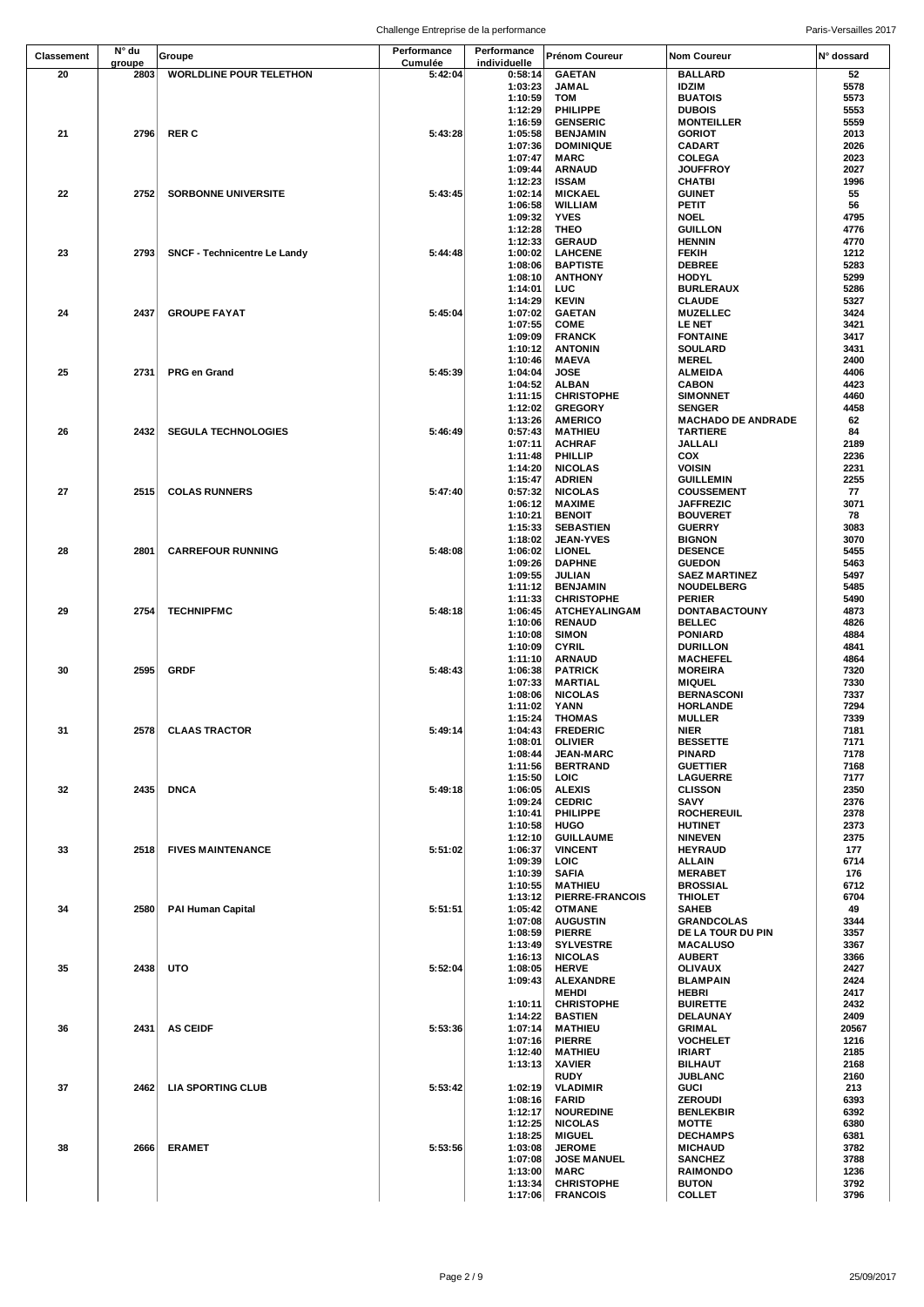|            | Challenge Entreprise de la performance |                                |                        |                             |                                    | Paris-Versailles 2017              |              |
|------------|----------------------------------------|--------------------------------|------------------------|-----------------------------|------------------------------------|------------------------------------|--------------|
| Classement | N° du<br>groupe                        | Groupe                         | Performance<br>Cumulée | Performance<br>individuelle | Prénom Coureur                     | <b>Nom Coureur</b>                 | N° dossard   |
| 20         | 2803                                   | <b>WORLDLINE POUR TELETHON</b> | 5:42:04                | 0:58:14                     | <b>GAETAN</b>                      | <b>BALLARD</b>                     | 52           |
|            |                                        |                                |                        | 1:03:23                     | <b>JAMAL</b>                       | <b>IDZIM</b>                       | 5578         |
|            |                                        |                                |                        | 1:10:59                     | <b>TOM</b>                         | <b>BUATOIS</b>                     | 5573         |
|            |                                        |                                |                        | 1:12:29<br>1:16:59          | PHILIPPE<br><b>GENSERIC</b>        | <b>DUBOIS</b><br><b>MONTEILLER</b> | 5553<br>5559 |
| 21         | 2796                                   | <b>RER C</b>                   | 5:43:28                | 1:05:58                     | <b>BENJAMIN</b>                    | <b>GORIOT</b>                      | 2013         |
|            |                                        |                                |                        | 1:07:36                     | <b>DOMINIQUE</b>                   | CADART                             | 2026         |
|            |                                        |                                |                        | 1:07:47                     | <b>MARC</b>                        | COLEGA                             | 2023         |
|            |                                        |                                |                        | 1:09:44                     | <b>ARNAUD</b>                      | <b>JOUFFROY</b>                    | 2027         |
|            |                                        |                                |                        | 1:12:23                     | <b>ISSAM</b>                       | CHATBI                             | 1996         |
| 22         | 2752                                   | <b>SORBONNE UNIVERSITE</b>     | 5:43:45                | 1:02:14<br>1:06:58          | <b>MICKAEL</b><br><b>WILLIAM</b>   | <b>GUINET</b><br>PETIT             | 55<br>56     |
|            |                                        |                                |                        | 1:09:32                     | <b>YVES</b>                        | <b>NOEL</b>                        | 4795         |
|            |                                        |                                |                        | 1:12:28                     | <b>THEO</b>                        | <b>GUILLON</b>                     | 4776         |
|            |                                        |                                |                        | 1:12:33                     | <b>GERAUD</b>                      | <b>HENNIN</b>                      | 4770         |
| 23         | 2793                                   | SNCF - Technicentre Le Landy   | 5:44:48                | 1:00:02                     | <b>LAHCENE</b>                     | FEKIH                              | 1212         |
|            |                                        |                                |                        | 1:08:06                     | <b>BAPTISTE</b>                    | <b>DEBREE</b>                      | 5283         |
|            |                                        |                                |                        | 1:08:10<br>1:14:01          | <b>ANTHONY</b><br>LUC              | <b>HODYL</b><br><b>BURLERAUX</b>   | 5299<br>5286 |
|            |                                        |                                |                        | 1:14:29                     | <b>KEVIN</b>                       | <b>CLAUDE</b>                      | 5327         |
| 24         | 2437                                   | <b>GROUPE FAYAT</b>            | 5:45:04                | 1:07:02                     | <b>GAETAN</b>                      | <b>MUZELLEC</b>                    | 3424         |
|            |                                        |                                |                        | 1:07:55                     | <b>COME</b>                        | <b>LE NET</b>                      | 3421         |
|            |                                        |                                |                        | 1:09:09                     | <b>FRANCK</b>                      | <b>FONTAINE</b>                    | 3417         |
|            |                                        |                                |                        | 1:10:12                     | <b>ANTONIN</b>                     | <b>SOULARD</b>                     | 3431         |
|            |                                        |                                |                        | 1:10:46                     | <b>MAEVA</b>                       | <b>MEREL</b>                       | 2400         |
| 25         | 2731                                   | PRG en Grand                   | 5:45:39                | 1:04:04<br>1:04:52          | <b>JOSE</b><br><b>ALBAN</b>        | ALMEIDA<br><b>CABON</b>            | 4406<br>4423 |
|            |                                        |                                |                        | 1:11:15                     | <b>CHRISTOPHE</b>                  | <b>SIMONNET</b>                    | 4460         |
|            |                                        |                                |                        | 1:12:02                     | <b>GREGORY</b>                     | <b>SENGER</b>                      | 4458         |
|            |                                        |                                |                        | 1:13:26                     | <b>AMERICO</b>                     | <b>MACHADO DE ANDRADE</b>          | 62           |
| 26         | 2432                                   | <b>SEGULA TECHNOLOGIES</b>     | 5:46:49                | 0:57:43                     | <b>MATHIEU</b>                     | <b>TARTIERE</b>                    | 84           |
|            |                                        |                                |                        | 1:07:11                     | <b>ACHRAF</b>                      | JALLALI                            | 2189         |
|            |                                        |                                |                        | 1:11:48                     | <b>PHILLIP</b>                     | COX                                | 2236         |
|            |                                        |                                |                        | 1:14:20<br>1:15:47          | <b>NICOLAS</b><br><b>ADRIEN</b>    | VOISIN<br><b>GUILLEMIN</b>         | 2231<br>2255 |
| 27         | 2515                                   | <b>COLAS RUNNERS</b>           | 5:47:40                | 0:57:32                     | <b>NICOLAS</b>                     | <b>COUSSEMENT</b>                  | 77           |
|            |                                        |                                |                        | 1:06:12                     | <b>MAXIME</b>                      | <b>JAFFREZIC</b>                   | 3071         |
|            |                                        |                                |                        | 1:10:21                     | <b>BENOIT</b>                      | <b>BOUVERET</b>                    | 78           |
|            |                                        |                                |                        | 1:15:33                     | <b>SEBASTIEN</b>                   | <b>GUERRY</b>                      | 3083         |
|            |                                        |                                |                        | 1:18:02                     | <b>JEAN-YVES</b>                   | <b>BIGNON</b>                      | 3070         |
| 28         | 2801                                   | <b>CARREFOUR RUNNING</b>       | 5:48:08                | 1:06:02                     | <b>LIONEL</b>                      | <b>DESENCE</b>                     | 5455         |
|            |                                        |                                |                        | 1:09:26<br>1:09:55          | <b>DAPHNE</b>                      | <b>GUEDON</b>                      | 5463         |
|            |                                        |                                |                        | 1:11:12                     | JULIAN<br><b>BENJAMIN</b>          | <b>SAEZ MARTINEZ</b><br>NOUDELBERG | 5497<br>5485 |
|            |                                        |                                |                        | 1:11:33                     | <b>CHRISTOPHE</b>                  | <b>PERIER</b>                      | 5490         |
| 29         | 2754                                   | <b>TECHNIPFMC</b>              | 5:48:18                | 1:06:45                     | <b>ATCHEYALINGAM</b>               | DONTABACTOUNY                      | 4873         |
|            |                                        |                                |                        | 1:10:06                     | <b>RENAUD</b>                      | <b>BELLEC</b>                      | 4826         |
|            |                                        |                                |                        | 1:10:08                     | <b>SIMON</b>                       | <b>PONIARD</b>                     | 4884         |
|            |                                        |                                |                        | 1:10:09                     | <b>CYRIL</b>                       | <b>DURILLON</b>                    | 4841         |
| 30         | 2595                                   | <b>GRDF</b>                    | 5:48:43                | 1:11:10<br>1:06:38          | <b>ARNAUD</b><br><b>PATRICK</b>    | <b>MACHEFEL</b><br><b>MOREIRA</b>  | 4864<br>7320 |
|            |                                        |                                |                        | 1:07:33                     | <b>MARTIAL</b>                     | <b>MIQUEL</b>                      | 7330         |
|            |                                        |                                |                        | 1:08:06                     | <b>NICOLAS</b>                     | <b>BERNASCONI</b>                  | 7337         |
|            |                                        |                                |                        | 1:11:02                     | YANN                               | <b>HORLANDE</b>                    | 7294         |
|            |                                        |                                |                        | 1:15:24                     | <b>THOMAS</b>                      | <b>MULLER</b>                      | 7339         |
| 31         | 2578                                   | <b>CLAAS TRACTOR</b>           | 5:49:14                | 1:04:43                     | <b>FREDERIC</b>                    | NIER                               | 7181         |
|            |                                        |                                |                        | 1:08:01<br>1:08:44          | <b>OLIVIER</b><br><b>JEAN-MARC</b> | <b>BESSETTE</b><br><b>PINARD</b>   | 7171<br>7178 |
|            |                                        |                                |                        | 1:11:56                     | <b>BERTRAND</b>                    | <b>GUETTIER</b>                    | 7168         |
|            |                                        |                                |                        | 1:15:50                     | LOIC                               | <b>LAGUERRE</b>                    | 7177         |
| 32         | 2435                                   | <b>DNCA</b>                    | 5:49:18                | 1:06:05                     | <b>ALEXIS</b>                      | <b>CLISSON</b>                     | 2350         |
|            |                                        |                                |                        | 1:09:24                     | <b>CEDRIC</b>                      | SAVY                               | 2376         |
|            |                                        |                                |                        | 1:10:41                     | <b>PHILIPPE</b>                    | <b>ROCHEREUIL</b>                  | 2378         |
|            |                                        |                                |                        | 1:10:58<br>1:12:10          | <b>HUGO</b><br><b>GUILLAUME</b>    | <b>HUTINET</b><br><b>NINEVEN</b>   | 2373<br>2375 |
| 33         | 2518                                   | <b>FIVES MAINTENANCE</b>       | 5:51:02                | 1:06:37                     | <b>VINCENT</b>                     | <b>HEYRAUD</b>                     | 177          |
|            |                                        |                                |                        | 1:09:39                     | <b>LOIC</b>                        | <b>ALLAIN</b>                      | 6714         |
|            |                                        |                                |                        | 1:10:39                     | <b>SAFIA</b>                       | <b>MERABET</b>                     | 176          |
|            |                                        |                                |                        | 1:10:55                     | <b>MATHIEU</b>                     | <b>BROSSIAL</b>                    | 6712         |
|            |                                        |                                |                        | 1:13:12                     | <b>PIERRE-FRANCOIS</b>             | THIOLET                            | 6704         |
| 34         | 2580                                   | <b>PAI Human Capital</b>       | 5:51:51                | 1:05:42<br>1:07:08          | <b>OTMANE</b><br><b>AUGUSTIN</b>   | <b>SAHEB</b><br><b>GRANDCOLAS</b>  | 49<br>3344   |
|            |                                        |                                |                        | 1:08:59                     | <b>PIERRE</b>                      | DE LA TOUR DU PIN                  | 3357         |
|            |                                        |                                |                        | 1:13:49                     | <b>SYLVESTRE</b>                   | <b>MACALUSO</b>                    | 3367         |
|            |                                        |                                |                        | 1:16:13                     | <b>NICOLAS</b>                     | <b>AUBERT</b>                      | 3366         |
| 35         | 2438                                   | UTO                            | 5:52:04                | 1:08:05                     | <b>HERVE</b>                       | OLIVAUX                            | 2427         |
|            |                                        |                                |                        | 1:09:43                     | <b>ALEXANDRE</b>                   | <b>BLAMPAIN</b>                    | 2424         |
|            |                                        |                                |                        | 1:10:11                     | <b>MEHDI</b><br><b>CHRISTOPHE</b>  | HEBRI<br><b>BUIRETTE</b>           | 2417<br>2432 |
|            |                                        |                                |                        | 1:14:22                     | <b>BASTIEN</b>                     | DELAUNAY                           | 2409         |
| 36         | 2431                                   | <b>AS CEIDF</b>                | 5:53:36                | 1:07:14                     | <b>MATHIEU</b>                     | GRIMAL                             | 20567        |
|            |                                        |                                |                        | 1:07:16                     | <b>PIERRE</b>                      | <b>VOCHELET</b>                    | 1216         |
|            |                                        |                                |                        | 1:12:40                     | <b>MATHIEU</b>                     | <b>IRIART</b>                      | 2185         |
|            |                                        |                                |                        | 1:13:13                     | <b>XAVIER</b>                      | <b>BILHAUT</b>                     | 2168         |
|            |                                        |                                |                        |                             | RUDY                               | JUBLANC                            | 2160         |
| 37         | 2462                                   | <b>LIA SPORTING CLUB</b>       | 5:53:42                | 1:02:19<br>1:08:16          | <b>VLADIMIR</b><br>FARID           | GUCI<br><b>ZEROUDI</b>             | 213<br>6393  |
|            |                                        |                                |                        | 1:12:17                     | <b>NOUREDINE</b>                   | <b>BENLEKBIR</b>                   | 6392         |
|            |                                        |                                |                        | 1:12:25                     | <b>NICOLAS</b>                     | MOTTE                              | 6380         |
|            |                                        |                                |                        | 1:18:25                     | <b>MIGUEL</b>                      | <b>DECHAMPS</b>                    | 6381         |
| 38         | 2666                                   | <b>ERAMET</b>                  | 5:53:56                | 1:03:08                     | <b>JEROME</b>                      | <b>MICHAUD</b>                     | 3782         |
|            |                                        |                                |                        | 1:07:08                     | <b>JOSE MANUEL</b>                 | <b>SANCHEZ</b>                     | 3788         |
|            |                                        |                                |                        | 1:13:00<br>1:13:34          | <b>MARC</b><br><b>CHRISTOPHE</b>   | <b>RAIMONDO</b><br><b>BUTON</b>    | 1236<br>3792 |
|            |                                        |                                |                        | 1:17:06                     | <b>FRANCOIS</b>                    | <b>COLLET</b>                      | 3796         |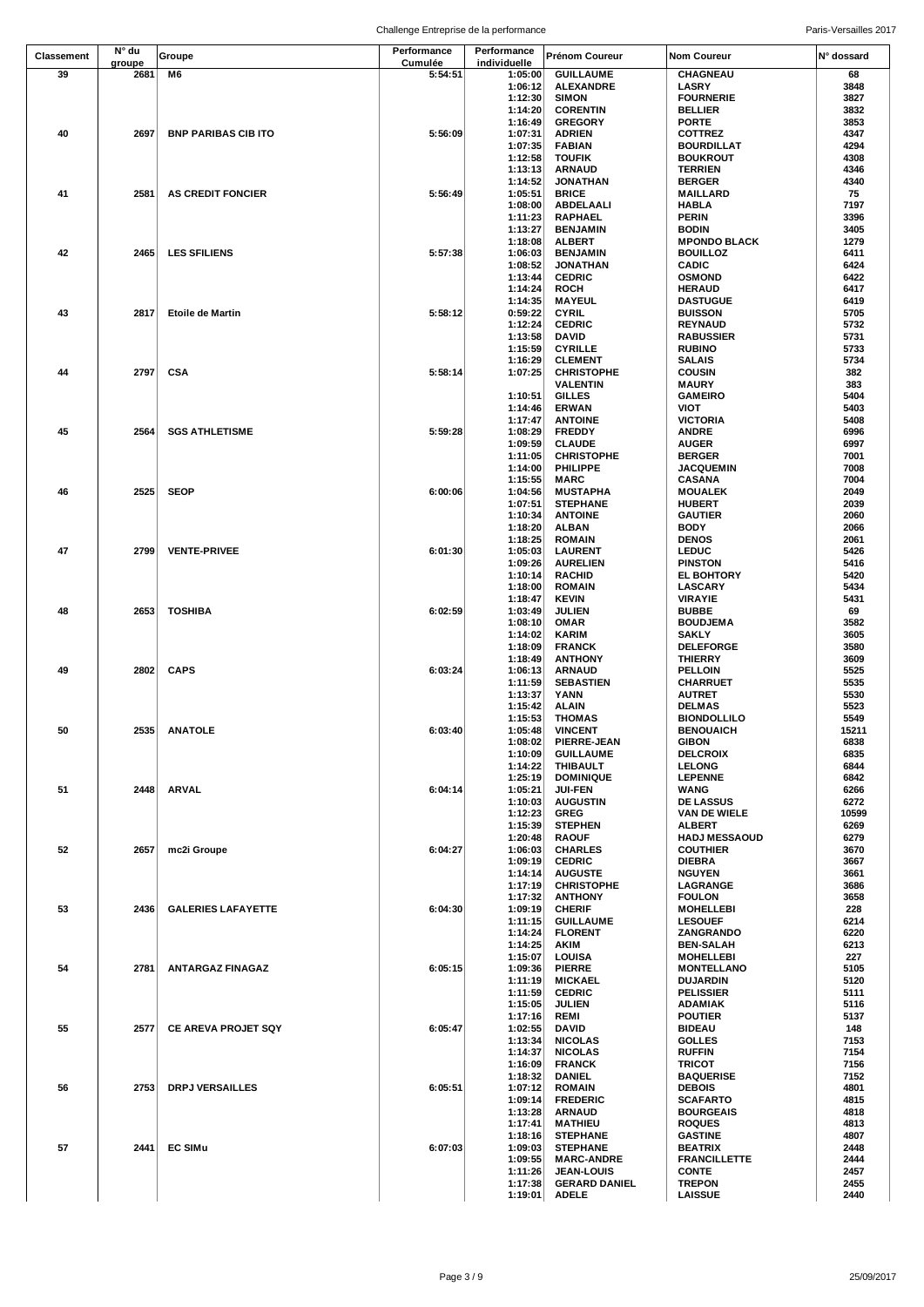| Classement | N° du          | Groupe                     | Performance        | Performance             | Prénom Coureur                     | Nom Coureur                          | N° dossard    |
|------------|----------------|----------------------------|--------------------|-------------------------|------------------------------------|--------------------------------------|---------------|
| 39         | groupe<br>2681 | M6                         | Cumulée<br>5:54:51 | individuelle<br>1:05:00 | <b>GUILLAUME</b>                   | CHAGNEAU                             | 68            |
|            |                |                            |                    | 1:06:12                 | <b>ALEXANDRE</b>                   | LASRY                                | 3848          |
|            |                |                            |                    | 1:12:30                 | <b>SIMON</b>                       | <b>FOURNERIE</b>                     | 3827          |
|            |                |                            |                    | 1:14:20                 | <b>CORENTIN</b>                    | <b>BELLIER</b>                       | 3832          |
|            |                |                            |                    | 1:16:49                 | <b>GREGORY</b>                     | <b>PORTE</b>                         | 3853          |
| 40         | 2697           | <b>BNP PARIBAS CIB ITO</b> | 5:56:09            | 1:07:31                 | <b>ADRIEN</b>                      | COTTREZ                              | 4347          |
|            |                |                            |                    | 1:07:35                 | <b>FABIAN</b>                      | <b>BOURDILLAT</b>                    | 4294          |
|            |                |                            |                    | 1:12:58                 | <b>TOUFIK</b>                      | <b>BOUKROUT</b>                      | 4308          |
|            |                |                            |                    | 1:13:13                 | <b>ARNAUD</b>                      | <b>TERRIEN</b>                       | 4346          |
|            |                |                            |                    | 1:14:52                 | <b>JONATHAN</b>                    | <b>BERGER</b>                        | 4340          |
| 41         | 2581           | <b>AS CREDIT FONCIER</b>   | 5:56:49            | 1:05:51<br>1:08:00      | <b>BRICE</b><br><b>ABDELAALI</b>   | MAILLARD<br><b>HABLA</b>             | 75<br>7197    |
|            |                |                            |                    | 1:11:23                 | <b>RAPHAEL</b>                     | PERIN                                | 3396          |
|            |                |                            |                    | 1:13:27                 | <b>BENJAMIN</b>                    | <b>BODIN</b>                         | 3405          |
|            |                |                            |                    | 1:18:08                 | <b>ALBERT</b>                      | <b>MPONDO BLACK</b>                  | 1279          |
| 42         | 2465           | <b>LES SFILIENS</b>        | 5:57:38            | 1:06:03                 | <b>BENJAMIN</b>                    | <b>BOUILLOZ</b>                      | 6411          |
|            |                |                            |                    | 1:08:52                 | <b>JONATHAN</b>                    | <b>CADIC</b>                         | 6424          |
|            |                |                            |                    | 1:13:44                 | <b>CEDRIC</b>                      | <b>OSMOND</b>                        | 6422          |
|            |                |                            |                    | 1:14:24                 | <b>ROCH</b>                        | <b>HERAUD</b>                        | 6417          |
|            |                |                            |                    | 1:14:35                 | <b>MAYEUL</b>                      | <b>DASTUGUE</b>                      | 6419          |
| 43         | 2817           | <b>Etoile de Martin</b>    | 5:58:12            | 0:59:22                 | <b>CYRIL</b>                       | <b>BUISSON</b>                       | 5705<br>5732  |
|            |                |                            |                    | 1:12:24<br>1:13:58      | <b>CEDRIC</b><br>DAVID             | <b>REYNAUD</b><br><b>RABUSSIER</b>   | 5731          |
|            |                |                            |                    | 1:15:59                 | <b>CYRILLE</b>                     | <b>RUBINO</b>                        | 5733          |
|            |                |                            |                    | 1:16:29                 | <b>CLEMENT</b>                     | <b>SALAIS</b>                        | 5734          |
| 44         | 2797           | <b>CSA</b>                 | 5:58:14            | 1:07:25                 | <b>CHRISTOPHE</b>                  | <b>COUSIN</b>                        | 382           |
|            |                |                            |                    |                         | <b>VALENTIN</b>                    | <b>MAURY</b>                         | 383           |
|            |                |                            |                    | 1:10:51                 | <b>GILLES</b>                      | <b>GAMEIRO</b>                       | 5404          |
|            |                |                            |                    | 1:14:46                 | <b>ERWAN</b>                       | VIOT                                 | 5403          |
|            |                |                            |                    | 1:17:47                 | <b>ANTOINE</b>                     | <b>VICTORIA</b>                      | 5408          |
| 45         | 2564           | <b>SGS ATHLETISME</b>      | 5:59:28            | 1:08:29                 | <b>FREDDY</b>                      | ANDRE                                | 6996          |
|            |                |                            |                    | 1:09:59<br>1:11:05      | <b>CLAUDE</b><br><b>CHRISTOPHE</b> | <b>AUGER</b><br><b>BERGER</b>        | 6997<br>7001  |
|            |                |                            |                    | 1:14:00                 | PHILIPPE                           | <b>JACQUEMIN</b>                     | 7008          |
|            |                |                            |                    | 1:15:55                 | <b>MARC</b>                        | <b>CASANA</b>                        | 7004          |
| 46         | 2525           | <b>SEOP</b>                | 6:00:06            | 1:04:56                 | <b>MUSTAPHA</b>                    | <b>MOUALEK</b>                       | 2049          |
|            |                |                            |                    | 1:07:51                 | <b>STEPHANE</b>                    | <b>HUBERT</b>                        | 2039          |
|            |                |                            |                    | 1:10:34                 | <b>ANTOINE</b>                     | <b>GAUTIER</b>                       | 2060          |
|            |                |                            |                    | 1:18:20                 | <b>ALBAN</b>                       | <b>BODY</b>                          | 2066          |
|            |                |                            |                    | 1:18:25                 | <b>ROMAIN</b>                      | <b>DENOS</b>                         | 2061          |
| 47         | 2799           | <b>VENTE-PRIVEE</b>        | 6:01:30            | 1:05:03                 | <b>LAURENT</b>                     | <b>LEDUC</b>                         | 5426          |
|            |                |                            |                    | 1:09:26                 | <b>AURELIEN</b>                    | <b>PINSTON</b>                       | 5416          |
|            |                |                            |                    | 1:10:14<br>1:18:00      | <b>RACHID</b><br><b>ROMAIN</b>     | <b>EL BOHTORY</b><br><b>LASCARY</b>  | 5420<br>5434  |
|            |                |                            |                    | 1:18:47                 | <b>KEVIN</b>                       | <b>VIRAYIE</b>                       | 5431          |
| 48         | 2653           | <b>TOSHIBA</b>             | 6:02:59            | 1:03:49                 | <b>JULIEN</b>                      | <b>BUBBE</b>                         | 69            |
|            |                |                            |                    | 1:08:10                 | <b>OMAR</b>                        | <b>BOUDJEMA</b>                      | 3582          |
|            |                |                            |                    | 1:14:02                 | <b>KARIM</b>                       | <b>SAKLY</b>                         | 3605          |
|            |                |                            |                    | 1:18:09                 | <b>FRANCK</b>                      | <b>DELEFORGE</b>                     | 3580          |
|            |                |                            |                    | 1:18:49                 | <b>ANTHONY</b>                     | <b>THIERRY</b>                       | 3609          |
| 49         | 2802           | <b>CAPS</b>                | 6:03:24            | 1:06:13                 | <b>ARNAUD</b>                      | <b>PELLOIN</b>                       | 5525          |
|            |                |                            |                    | 1:11:59                 | <b>SEBASTIEN</b>                   | <b>CHARRUET</b>                      | 5535          |
|            |                |                            |                    | 1:13:37                 | YANN                               | <b>AUTRET</b><br><b>DELMAS</b>       | 5530<br>5523  |
|            |                |                            |                    | 1:15:42<br>1:15:53      | <b>ALAIN</b><br><b>THOMAS</b>      | <b>BIONDOLLILO</b>                   | 5549          |
| 50         |                | 2535 ANATOLE               | 6:03:40            |                         | 1:05:48 VINCENT                    | <b>BENOUAICH</b>                     | 15211         |
|            |                |                            |                    | 1:08:02                 | PIERRE-JEAN                        | <b>GIBON</b>                         | 6838          |
|            |                |                            |                    | 1:10:09                 | <b>GUILLAUME</b>                   | <b>DELCROIX</b>                      | 6835          |
|            |                |                            |                    | 1:14:22                 | THIBAULT                           | <b>LELONG</b>                        | 6844          |
|            |                |                            |                    | 1:25:19                 | <b>DOMINIQUE</b>                   | <b>LEPENNE</b>                       | 6842          |
| 51         | 2448           | ARVAL                      | 6:04:14            | 1:05:21                 | <b>JUI-FEN</b>                     | WANG                                 | 6266          |
|            |                |                            |                    | 1:10:03                 | <b>AUGUSTIN</b>                    | <b>DE LASSUS</b>                     | 6272          |
|            |                |                            |                    | 1:12:23<br>1:15:39      | <b>GREG</b><br><b>STEPHEN</b>      | VAN DE WIELE<br>ALBERT               | 10599<br>6269 |
|            |                |                            |                    | 1:20:48                 | <b>RAOUF</b>                       | <b>HADJ MESSAOUD</b>                 | 6279          |
| 52         | 2657           | mc2i Groupe                | 6:04:27            | 1:06:03                 | <b>CHARLES</b>                     | <b>COUTHIER</b>                      | 3670          |
|            |                |                            |                    | 1:09:19                 | <b>CEDRIC</b>                      | DIEBRA                               | 3667          |
|            |                |                            |                    | 1:14:14                 | <b>AUGUSTE</b>                     | <b>NGUYEN</b>                        | 3661          |
|            |                |                            |                    | 1:17:19                 | <b>CHRISTOPHE</b>                  | LAGRANGE                             | 3686          |
|            |                |                            |                    | 1:17:32                 | <b>ANTHONY</b>                     | <b>FOULON</b>                        | 3658          |
| 53         | 2436           | <b>GALERIES LAFAYETTE</b>  | 6:04:30            | 1:09:19                 | <b>CHERIF</b>                      | <b>MOHELLEBI</b>                     | 228           |
|            |                |                            |                    | 1:11:15                 | <b>GUILLAUME</b>                   | <b>LESOUEF</b>                       | 6214          |
|            |                |                            |                    | 1:14:24                 | <b>FLORENT</b>                     | ZANGRANDO                            | 6220<br>6213  |
|            |                |                            |                    | 1:14:25<br>1:15:07      | <b>AKIM</b><br>LOUISA              | <b>BEN-SALAH</b><br><b>MOHELLEBI</b> | 227           |
| 54         | 2781           | <b>ANTARGAZ FINAGAZ</b>    | 6:05:15            | 1:09:36                 | <b>PIERRE</b>                      | <b>MONTELLANO</b>                    | 5105          |
|            |                |                            |                    | 1:11:19                 | <b>MICKAEL</b>                     | <b>DUJARDIN</b>                      | 5120          |
|            |                |                            |                    | 1:11:59                 | <b>CEDRIC</b>                      | <b>PELISSIER</b>                     | 5111          |
|            |                |                            |                    | 1:15:05                 | <b>JULIEN</b>                      | <b>ADAMIAK</b>                       | 5116          |
|            |                |                            |                    | 1:17:16                 | <b>REMI</b>                        | <b>POUTIER</b>                       | 5137          |
| 55         | 2577           | <b>CE AREVA PROJET SQY</b> | 6:05:47            | 1:02:55                 | DAVID                              | <b>BIDEAU</b>                        | 148           |
|            |                |                            |                    | 1:13:34                 | <b>NICOLAS</b>                     | <b>GOLLES</b>                        | 7153          |
|            |                |                            |                    | 1:14:37                 | <b>NICOLAS</b>                     | <b>RUFFIN</b>                        | 7154          |
|            |                |                            |                    | 1:16:09                 | <b>FRANCK</b>                      | <b>TRICOT</b>                        | 7156          |
| 56         | 2753           |                            | 6:05:51            | 1:18:32                 | <b>DANIEL</b>                      | <b>BAQUERISE</b><br><b>DEBOIS</b>    | 7152<br>4801  |
|            |                | <b>DRPJ VERSAILLES</b>     |                    | 1:07:12<br>1:09:14      | <b>ROMAIN</b><br><b>FREDERIC</b>   | SCAFARTO                             | 4815          |
|            |                |                            |                    | 1:13:28                 | ARNAUD                             | <b>BOURGEAIS</b>                     | 4818          |
|            |                |                            |                    | 1:17:41                 | <b>MATHIEU</b>                     | <b>ROQUES</b>                        | 4813          |
|            |                |                            |                    | 1:18:16                 | <b>STEPHANE</b>                    | <b>GASTINE</b>                       | 4807          |
| 57         | 2441           | <b>EC SIMu</b>             | 6:07:03            | 1:09:03                 | <b>STEPHANE</b>                    | <b>BEATRIX</b>                       | 2448          |
|            |                |                            |                    | 1:09:55                 | <b>MARC-ANDRE</b>                  | <b>FRANCILLETTE</b>                  | 2444          |
|            |                |                            |                    | 1:11:26                 | <b>JEAN-LOUIS</b>                  | <b>CONTE</b>                         | 2457          |
|            |                |                            |                    | 1:17:38                 | <b>GERARD DANIEL</b>               | <b>TREPON</b>                        | 2455          |
|            |                |                            |                    | 1:19:01                 | <b>ADELE</b>                       | <b>LAISSUE</b>                       | 2440          |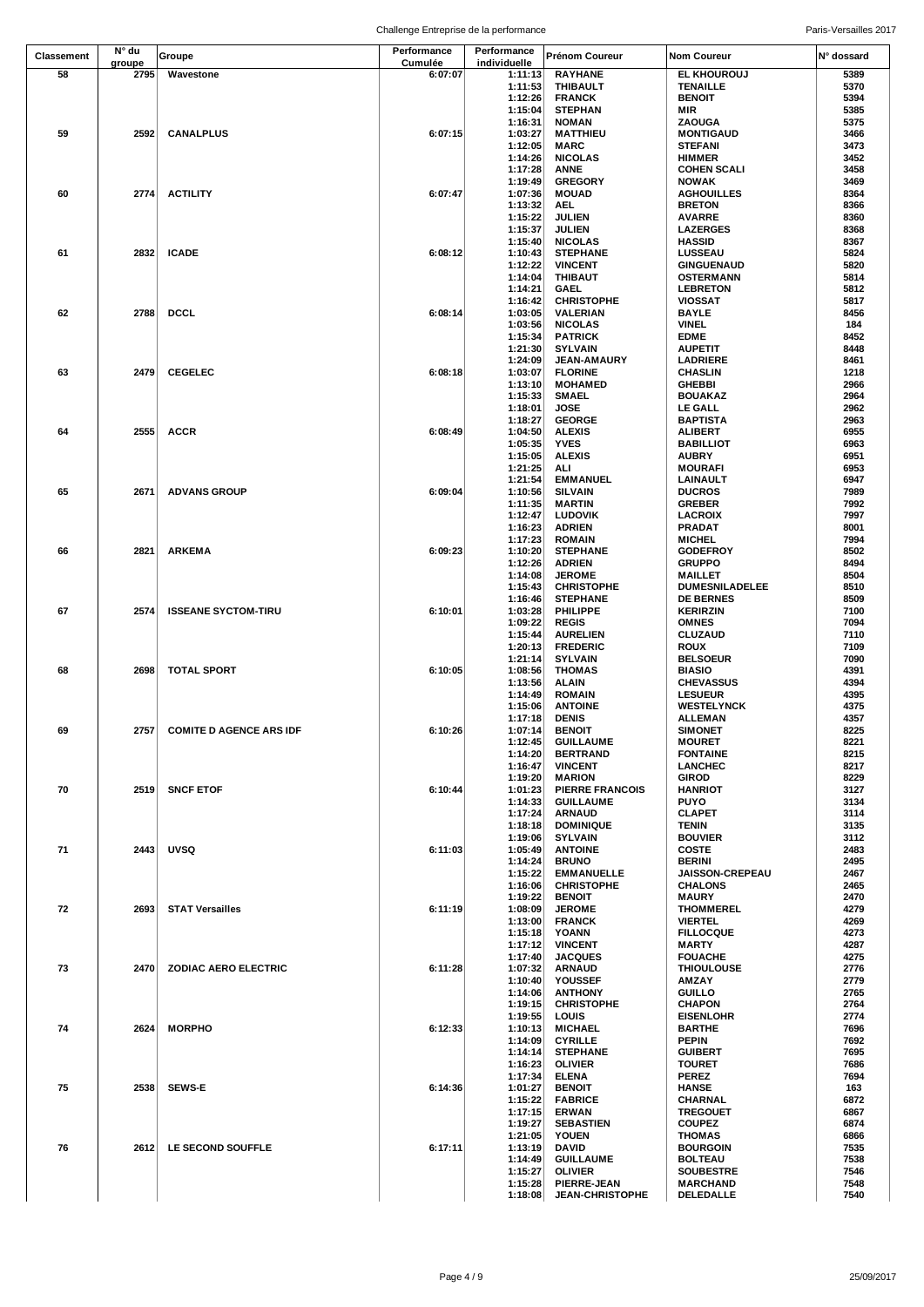|            | N° du  |                              |                        |                             |                                   |                                  |              |
|------------|--------|------------------------------|------------------------|-----------------------------|-----------------------------------|----------------------------------|--------------|
| Classement | groupe | Groupe                       | Performance<br>Cumulée | Performance<br>individuelle | Prénom Coureur                    | <b>Nom Coureur</b>               | N° dossard   |
| 58         | 2795   | Wavestone                    | 6:07:07                | 1:11:13                     | <b>RAYHANE</b>                    | EL KHOUROUJ                      | 5389         |
|            |        |                              |                        | 1:11:53                     | THIBAULT                          | <b>TENAILLE</b>                  | 5370         |
|            |        |                              |                        | 1:12:26                     | <b>FRANCK</b>                     | <b>BENOIT</b>                    | 5394         |
|            |        |                              |                        | 1:15:04                     | <b>STEPHAN</b>                    | MIR                              | 5385         |
|            |        |                              |                        | 1:16:31                     | <b>NOMAN</b>                      | ZAOUGA                           | 5375         |
| 59         | 2592   | <b>CANALPLUS</b>             | 6:07:15                | 1:03:27                     | <b>MATTHIEU</b>                   | <b>MONTIGAUD</b>                 | 3466         |
|            |        |                              |                        | 1:12:05                     | MARC                              | <b>STEFANI</b>                   | 3473         |
|            |        |                              |                        | 1:14:26                     | <b>NICOLAS</b>                    | <b>HIMMER</b>                    | 3452         |
|            |        |                              |                        | 1:17:28                     | <b>ANNE</b>                       | <b>COHEN SCALI</b>               | 3458         |
|            |        |                              |                        | 1:19:49                     | <b>GREGORY</b>                    | <b>NOWAK</b>                     | 3469         |
| 60         | 2774   | <b>ACTILITY</b>              | 6:07:47                | 1:07:36                     | <b>MOUAD</b>                      | <b>AGHOUILLES</b>                | 8364         |
|            |        |                              |                        | 1:13:32                     | AEL.                              | <b>BRETON</b>                    | 8366         |
|            |        |                              |                        | 1:15:22                     | JULIEN                            | <b>AVARRE</b>                    | 8360         |
|            |        |                              |                        | 1:15:37                     | <b>JULIEN</b>                     | <b>LAZERGES</b>                  | 8368         |
| 61         | 2832   | <b>ICADE</b>                 | 6:08:12                | 1:15:40                     | <b>NICOLAS</b>                    | <b>HASSID</b><br>LUSSEAU         | 8367<br>5824 |
|            |        |                              |                        | 1:10:43<br>1:12:22          | <b>STEPHANE</b><br><b>VINCENT</b> | <b>GINGUENAUD</b>                | 5820         |
|            |        |                              |                        | 1:14:04                     | <b>THIBAUT</b>                    | <b>OSTERMANN</b>                 | 5814         |
|            |        |                              |                        | 1:14:21                     | <b>GAEL</b>                       | <b>LEBRETON</b>                  | 5812         |
|            |        |                              |                        | 1:16:42                     | <b>CHRISTOPHE</b>                 | VIOSSAT                          | 5817         |
| 62         | 2788   | <b>DCCL</b>                  | 6:08:14                | 1:03:05                     | VALERIAN                          | <b>BAYLE</b>                     | 8456         |
|            |        |                              |                        | 1:03:56                     | <b>NICOLAS</b>                    | <b>VINEL</b>                     | 184          |
|            |        |                              |                        | 1:15:34                     | <b>PATRICK</b>                    | <b>EDME</b>                      | 8452         |
|            |        |                              |                        | 1:21:30                     | <b>SYLVAIN</b>                    | <b>AUPETIT</b>                   | 8448         |
|            |        |                              |                        | 1:24:09                     | <b>JEAN-AMAURY</b>                | LADRIERE                         | 8461         |
| 63         | 2479   | <b>CEGELEC</b>               | 6:08:18                | 1:03:07                     | <b>FLORINE</b>                    | <b>CHASLIN</b>                   | 1218         |
|            |        |                              |                        | 1:13:10                     | <b>MOHAMED</b>                    | <b>GHEBBI</b>                    | 2966         |
|            |        |                              |                        | 1:15:33                     | <b>SMAEL</b>                      | <b>BOUAKAZ</b>                   | 2964         |
|            |        |                              |                        | 1:18:01                     | <b>JOSE</b>                       | <b>LE GALL</b>                   | 2962         |
|            |        |                              |                        | 1:18:27                     | <b>GEORGE</b>                     | <b>BAPTISTA</b>                  | 2963         |
| 64         | 2555   | <b>ACCR</b>                  | 6:08:49                | 1:04:50                     | <b>ALEXIS</b>                     | ALIBERT                          | 6955         |
|            |        |                              |                        | 1:05:35                     | <b>YVES</b>                       | <b>BABILLIOT</b>                 | 6963         |
|            |        |                              |                        | 1:15:05                     | <b>ALEXIS</b>                     | <b>AUBRY</b>                     | 6951         |
|            |        |                              |                        | 1:21:25                     | ALI                               | <b>MOURAFI</b>                   | 6953         |
|            |        |                              |                        | 1:21:54                     | <b>EMMANUEL</b>                   | LAINAULT                         | 6947         |
| 65         | 2671   | <b>ADVANS GROUP</b>          | 6:09:04                | 1:10:56                     | <b>SILVAIN</b>                    | <b>DUCROS</b>                    | 7989         |
|            |        |                              |                        | 1:11:35                     | <b>MARTIN</b>                     | <b>GREBER</b>                    | 7992         |
|            |        |                              |                        | 1:12:47                     | <b>LUDOVIK</b>                    | <b>LACROIX</b>                   | 7997         |
|            |        |                              |                        | 1:16:23                     | <b>ADRIEN</b>                     | PRADAT                           | 8001         |
|            |        |                              |                        | 1:17:23                     | <b>ROMAIN</b>                     | <b>MICHEL</b>                    | 7994         |
| 66         | 2821   | <b>ARKEMA</b>                | 6:09:23                | 1:10:20                     | <b>STEPHANE</b>                   | <b>GODEFROY</b>                  | 8502         |
|            |        |                              |                        | 1:12:26                     | <b>ADRIEN</b>                     | <b>GRUPPO</b>                    | 8494         |
|            |        |                              |                        | 1:14:08                     | <b>JEROME</b>                     | <b>MAILLET</b>                   | 8504         |
|            |        |                              |                        | 1:15:43                     | <b>CHRISTOPHE</b>                 | <b>DUMESNILADELEE</b>            | 8510         |
| 67         | 2574   |                              | 6:10:01                | 1:16:46                     | <b>STEPHANE</b>                   | <b>DE BERNES</b>                 | 8509<br>7100 |
|            |        | <b>ISSEANE SYCTOM-TIRU</b>   |                        | 1:03:28                     | <b>PHILIPPE</b>                   | <b>KERIRZIN</b>                  | 7094         |
|            |        |                              |                        | 1:09:22<br>1:15:44          | <b>REGIS</b><br><b>AURELIEN</b>   | <b>OMNES</b><br><b>CLUZAUD</b>   | 7110         |
|            |        |                              |                        | 1:20:13                     | <b>FREDERIC</b>                   | ROUX                             | 7109         |
|            |        |                              |                        | 1:21:14                     | <b>SYLVAIN</b>                    | <b>BELSOEUR</b>                  | 7090         |
| 68         | 2698   | <b>TOTAL SPORT</b>           | 6:10:05                | 1:08:56                     | <b>THOMAS</b>                     | <b>BIASIO</b>                    | 4391         |
|            |        |                              |                        | 1:13:56                     | ALAIN                             | <b>CHEVASSUS</b>                 | 4394         |
|            |        |                              |                        | 1:14:49                     | <b>ROMAIN</b>                     | <b>LESUEUR</b>                   | 4395         |
|            |        |                              |                        | 1:15:06                     | <b>ANTOINE</b>                    | <b>WESTELYNCK</b>                | 4375         |
|            |        |                              |                        | 1:17:18                     | <b>DENIS</b>                      | <b>ALLEMAN</b>                   | 4357         |
| 69         |        | 2757 COMITE D AGENCE ARS IDF | 6:10:26                |                             | 1:07:14 BENOIT                    | <b>SIMONET</b>                   | 8225         |
|            |        |                              |                        | 1:12:45                     | <b>GUILLAUME</b>                  | <b>MOURET</b>                    | 8221         |
|            |        |                              |                        | 1:14:20                     | <b>BERTRAND</b>                   | <b>FONTAINE</b>                  | 8215         |
|            |        |                              |                        | 1:16:47                     | <b>VINCENT</b>                    | LANCHEC                          | 8217         |
|            |        |                              |                        | 1:19:20                     | <b>MARION</b>                     | GIROD                            | 8229         |
| 70         | 2519   | <b>SNCF ETOF</b>             | 6:10:44                | 1:01:23                     | <b>PIERRE FRANCOIS</b>            | <b>HANRIOT</b>                   | 3127         |
|            |        |                              |                        | 1:14:33                     | <b>GUILLAUME</b>                  | <b>PUYO</b>                      | 3134         |
|            |        |                              |                        | 1:17:24                     | <b>ARNAUD</b>                     | <b>CLAPET</b>                    | 3114         |
|            |        |                              |                        | 1:18:18                     | <b>DOMINIQUE</b>                  | TENIN                            | 3135         |
|            |        |                              |                        | 1:19:06                     | <b>SYLVAIN</b>                    | <b>BOUVIER</b>                   | 3112         |
| 71         | 2443   | <b>UVSQ</b>                  | 6:11:03                | 1:05:49                     | <b>ANTOINE</b>                    | <b>COSTE</b>                     | 2483         |
|            |        |                              |                        | 1:14:24<br>1:15:22          | <b>BRUNO</b><br><b>EMMANUELLE</b> | <b>BERINI</b><br>JAISSON-CREPEAU | 2495<br>2467 |
|            |        |                              |                        | 1:16:06                     | <b>CHRISTOPHE</b>                 | <b>CHALONS</b>                   | 2465         |
|            |        |                              |                        | 1:19:22                     | <b>BENOIT</b>                     | <b>MAURY</b>                     | 2470         |
| 72         | 2693   | <b>STAT Versailles</b>       | 6:11:19                | 1:08:09                     | <b>JEROME</b>                     | <b>THOMMEREL</b>                 | 4279         |
|            |        |                              |                        | 1:13:00                     | <b>FRANCK</b>                     | <b>VIERTEL</b>                   | 4269         |
|            |        |                              |                        | 1:15:18                     | YOANN                             | <b>FILLOCQUE</b>                 | 4273         |
|            |        |                              |                        | 1:17:12                     | <b>VINCENT</b>                    | <b>MARTY</b>                     | 4287         |
|            |        |                              |                        | 1:17:40                     | <b>JACQUES</b>                    | <b>FOUACHE</b>                   | 4275         |
| 73         | 2470   | <b>ZODIAC AERO ELECTRIC</b>  | 6:11:28                | 1:07:32                     | <b>ARNAUD</b>                     | <b>THIOULOUSE</b>                | 2776         |
|            |        |                              |                        | 1:10:40                     | YOUSSEF                           | AMZAY                            | 2779         |
|            |        |                              |                        | 1:14:06                     | <b>ANTHONY</b>                    | <b>GUILLO</b>                    | 2765         |
|            |        |                              |                        | 1:19:15                     | <b>CHRISTOPHE</b>                 | <b>CHAPON</b>                    | 2764         |
|            |        |                              |                        | 1:19:55                     | <b>LOUIS</b>                      | <b>EISENLOHR</b>                 | 2774         |
| 74         | 2624   | <b>MORPHO</b>                | 6:12:33                | 1:10:13                     | <b>MICHAEL</b>                    | <b>BARTHE</b>                    | 7696         |
|            |        |                              |                        | 1:14:09                     | <b>CYRILLE</b>                    | PEPIN                            | 7692         |
|            |        |                              |                        | 1:14:14                     | <b>STEPHANE</b>                   | <b>GUIBERT</b>                   | 7695         |
|            |        |                              |                        | 1:16:23                     | <b>OLIVIER</b>                    | <b>TOURET</b>                    | 7686         |
|            |        |                              |                        | 1:17:34                     | <b>ELENA</b>                      | <b>PEREZ</b>                     | 7694         |
| 75         | 2538   | <b>SEWS-E</b>                | 6:14:36                | 1:01:27                     | <b>BENOIT</b>                     | <b>HANSE</b>                     | 163          |
|            |        |                              |                        | 1:15:22                     | <b>FABRICE</b>                    | CHARNAL                          | 6872         |
|            |        |                              |                        | 1:17:15<br>1:19:27          | <b>ERWAN</b><br><b>SEBASTIEN</b>  | <b>TREGOUET</b><br><b>COUPEZ</b> | 6867<br>6874 |
|            |        |                              |                        | 1:21:05                     | YOUEN                             | THOMAS                           | 6866         |
| 76         | 2612   | LE SECOND SOUFFLE            | 6:17:11                | 1:13:19                     | DAVID                             | <b>BOURGOIN</b>                  | 7535         |
|            |        |                              |                        | 1:14:49                     | <b>GUILLAUME</b>                  | <b>BOLTEAU</b>                   | 7538         |
|            |        |                              |                        | 1:15:27                     | <b>OLIVIER</b>                    | <b>SOUBESTRE</b>                 | 7546         |
|            |        |                              |                        | 1:15:28                     | PIERRE-JEAN                       | <b>MARCHAND</b>                  | 7548         |
|            |        |                              |                        | 1:18:08                     | <b>JEAN-CHRISTOPHE</b>            | DELEDALLE                        | 7540         |
|            |        |                              |                        |                             |                                   |                                  |              |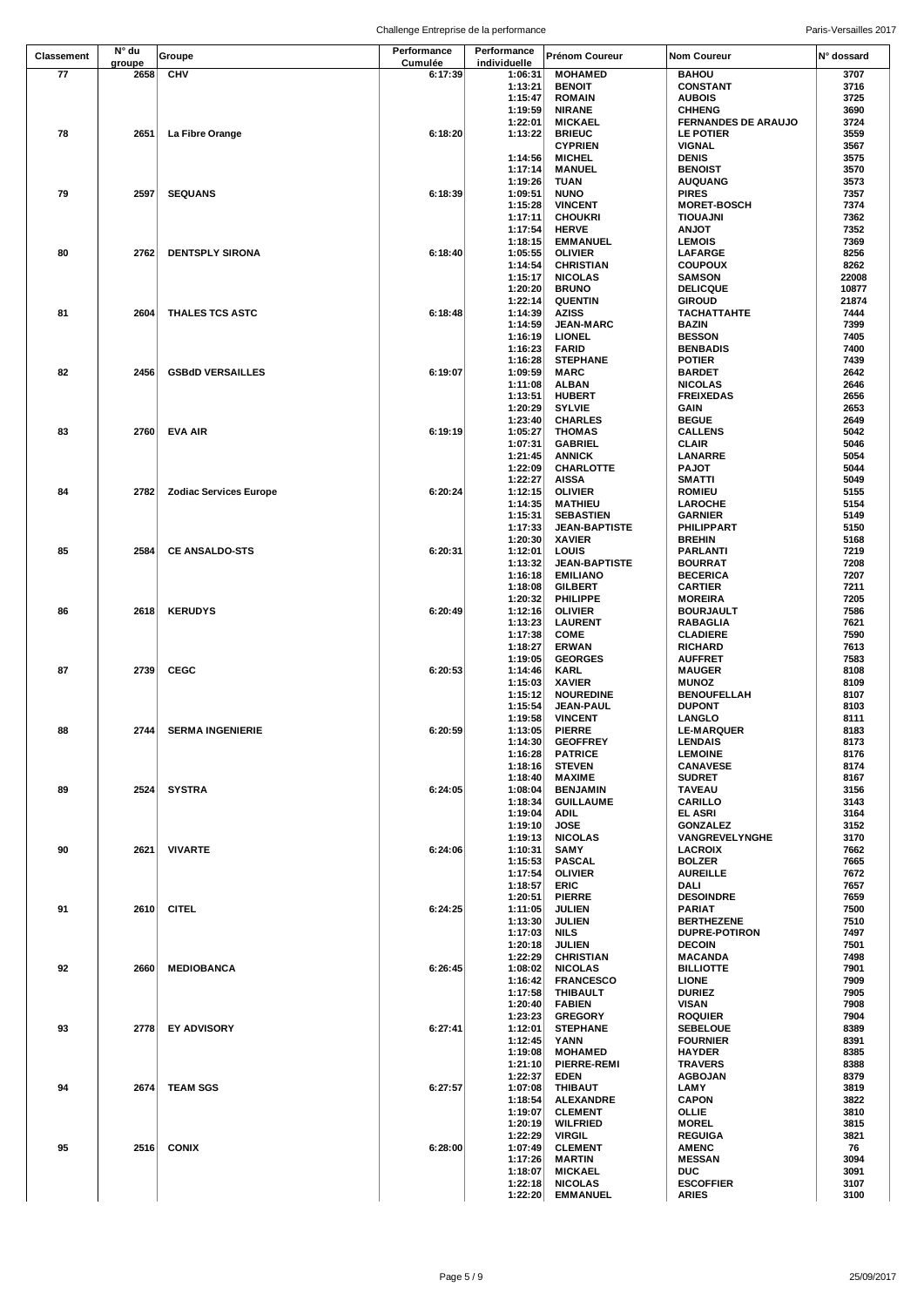|                 |                 |                               | Challenge Entreprise de la performance |                             |                                     |                                             | Paris-Versailles 2017 |
|-----------------|-----------------|-------------------------------|----------------------------------------|-----------------------------|-------------------------------------|---------------------------------------------|-----------------------|
| Classement      | N° du<br>groupe | Groupe                        | Performance<br>Cumulée                 | Performance<br>individuelle | Prénom Coureur                      | <b>Nom Coureur</b>                          | N° dossard            |
| $\overline{77}$ | 2658            | <b>CHV</b>                    | 6:17:39                                | 1:06:31                     | <b>MOHAMED</b>                      | <b>BAHOU</b>                                | 3707                  |
|                 |                 |                               |                                        | 1:13:21                     | <b>BENOIT</b>                       | <b>CONSTANT</b>                             | 3716                  |
|                 |                 |                               |                                        | 1:15:47                     | <b>ROMAIN</b>                       | <b>AUBOIS</b>                               | 3725                  |
|                 |                 |                               |                                        | 1:19:59<br>1:22:01          | <b>NIRANE</b><br><b>MICKAEL</b>     | <b>CHHENG</b><br><b>FERNANDES DE ARAUJO</b> | 3690<br>3724          |
| 78              | 2651            | La Fibre Orange               | 6:18:20                                | 1:13:22                     | <b>BRIEUC</b>                       | LE POTIER                                   | 3559                  |
|                 |                 |                               |                                        |                             | <b>CYPRIEN</b>                      | VIGNAL                                      | 3567                  |
|                 |                 |                               |                                        | 1:14:56                     | <b>MICHEL</b>                       | <b>DENIS</b>                                | 3575                  |
|                 |                 |                               |                                        | 1:17:14                     | <b>MANUEL</b>                       | <b>BENOIST</b>                              | 3570                  |
|                 |                 |                               |                                        | 1:19:26                     | TUAN                                | <b>AUQUANG</b>                              | 3573                  |
| 79              | 2597            | <b>SEQUANS</b>                | 6:18:39                                | 1:09:51<br>1:15:28          | <b>NUNO</b><br><b>VINCENT</b>       | <b>PIRES</b><br><b>MORET-BOSCH</b>          | 7357<br>7374          |
|                 |                 |                               |                                        | 1:17:11                     | <b>CHOUKRI</b>                      | <b>TIOUAJNI</b>                             | 7362                  |
|                 |                 |                               |                                        | 1:17:54                     | <b>HERVE</b>                        | <b>ANJOT</b>                                | 7352                  |
|                 |                 |                               |                                        | 1:18:15                     | <b>EMMANUEL</b>                     | <b>LEMOIS</b>                               | 7369                  |
| 80              | 2762            | <b>DENTSPLY SIRONA</b>        | 6:18:40                                | 1:05:55                     | <b>OLIVIER</b>                      | LAFARGE                                     | 8256                  |
|                 |                 |                               |                                        | 1:14:54                     | <b>CHRISTIAN</b>                    | <b>COUPOUX</b>                              | 8262                  |
|                 |                 |                               |                                        | 1:15:17<br>1:20:20          | <b>NICOLAS</b><br><b>BRUNO</b>      | <b>SAMSON</b><br><b>DELICQUE</b>            | 22008<br>10877        |
|                 |                 |                               |                                        | 1:22:14                     | <b>QUENTIN</b>                      | <b>GIROUD</b>                               | 21874                 |
| 81              | 2604            | THALES TCS ASTC               | 6:18:48                                | 1:14:39                     | <b>AZISS</b>                        | <b>TACHATTAHTE</b>                          | 7444                  |
|                 |                 |                               |                                        | 1:14:59                     | <b>JEAN-MARC</b>                    | <b>BAZIN</b>                                | 7399                  |
|                 |                 |                               |                                        | 1:16:19                     | <b>LIONEL</b>                       | <b>BESSON</b>                               | 7405                  |
|                 |                 |                               |                                        | 1:16:23                     | <b>FARID</b>                        | <b>BENBADIS</b>                             | 7400                  |
| 82              |                 | <b>GSBdD VERSAILLES</b>       | 6:19:07                                | 1:16:28                     | <b>STEPHANE</b>                     | <b>POTIER</b>                               | 7439                  |
|                 | 2456            |                               |                                        | 1:09:59<br>1:11:08          | <b>MARC</b><br><b>ALBAN</b>         | <b>BARDET</b><br><b>NICOLAS</b>             | 2642<br>2646          |
|                 |                 |                               |                                        | 1:13:51                     | <b>HUBERT</b>                       | <b>FREIXEDAS</b>                            | 2656                  |
|                 |                 |                               |                                        | 1:20:29                     | <b>SYLVIE</b>                       | GAIN                                        | 2653                  |
|                 |                 |                               |                                        | 1:23:40                     | <b>CHARLES</b>                      | <b>BEGUE</b>                                | 2649                  |
| 83              | 2760            | <b>EVA AIR</b>                | 6:19:19                                | 1:05:27                     | <b>THOMAS</b>                       | <b>CALLENS</b>                              | 5042                  |
|                 |                 |                               |                                        | 1:07:31                     | <b>GABRIEL</b>                      | CLAIR                                       | 5046                  |
|                 |                 |                               |                                        | 1:21:45<br>1:22:09          | <b>ANNICK</b><br>CHARLOTTE          | <b>LANARRE</b><br><b>PAJOT</b>              | 5054<br>5044          |
|                 |                 |                               |                                        | 1:22:27                     | <b>AISSA</b>                        | <b>SMATTI</b>                               | 5049                  |
| 84              | 2782            | <b>Zodiac Services Europe</b> | 6:20:24                                | 1:12:15                     | <b>OLIVIER</b>                      | <b>ROMIEU</b>                               | 5155                  |
|                 |                 |                               |                                        | 1:14:35                     | <b>MATHIEU</b>                      | <b>LAROCHE</b>                              | 5154                  |
|                 |                 |                               |                                        | 1:15:31                     | <b>SEBASTIEN</b>                    | <b>GARNIER</b>                              | 5149                  |
|                 |                 |                               |                                        | 1:17:33                     | <b>JEAN-BAPTISTE</b>                | <b>PHILIPPART</b>                           | 5150                  |
|                 |                 |                               |                                        | 1:20:30                     | <b>XAVIER</b>                       | <b>BREHIN</b>                               | 5168                  |
| 85              | 2584            | <b>CE ANSALDO-STS</b>         | 6:20:31                                | 1:12:01<br>1:13:32          | LOUIS<br><b>JEAN-BAPTISTE</b>       | <b>PARLANTI</b><br><b>BOURRAT</b>           | 7219<br>7208          |
|                 |                 |                               |                                        | 1:16:18                     | <b>EMILIANO</b>                     | <b>BECERICA</b>                             | 7207                  |
|                 |                 |                               |                                        | 1:18:08                     | <b>GILBERT</b>                      | <b>CARTIER</b>                              | 7211                  |
|                 |                 |                               |                                        | 1:20:32                     | PHILIPPE                            | <b>MOREIRA</b>                              | 7205                  |
| 86              | 2618            | <b>KERUDYS</b>                | 6:20:49                                | 1:12:16                     | <b>OLIVIER</b>                      | <b>BOURJAULT</b>                            | 7586                  |
|                 |                 |                               |                                        | 1:13:23                     | <b>LAURENT</b>                      | RABAGLIA                                    | 7621                  |
|                 |                 |                               |                                        | 1:17:38<br>1:18:27          | <b>COME</b><br><b>ERWAN</b>         | <b>CLADIERE</b><br><b>RICHARD</b>           | 7590<br>7613          |
|                 |                 |                               |                                        | 1:19:05                     | <b>GEORGES</b>                      | <b>AUFFRET</b>                              | 7583                  |
| 87              | 2739            | <b>CEGC</b>                   | 6:20:53                                | 1:14:46                     | <b>KARL</b>                         | <b>MAUGER</b>                               | 8108                  |
|                 |                 |                               |                                        | 1:15:03                     | <b>XAVIER</b>                       | <b>MUNOZ</b>                                | 8109                  |
|                 |                 |                               |                                        | 1:15:12                     | <b>NOUREDINE</b>                    | <b>BENOUFELLAH</b>                          | 8107                  |
|                 |                 |                               |                                        | 1:15:54                     | <b>JEAN-PAUL</b>                    | <b>DUPONT</b>                               | 8103                  |
| 88              | 2744            | <b>SERMA INGENIERIE</b>       | 6:20:59                                | 1:19:58<br>1:13:05          | <b>VINCENT</b><br><b>PIERRE</b>     | LANGLO<br><b>LE-MARQUER</b>                 | 8111<br>8183          |
|                 |                 |                               |                                        | 1:14:30                     | <b>GEOFFREY</b>                     | <b>LENDAIS</b>                              | 8173                  |
|                 |                 |                               |                                        | 1:16:28                     | <b>PATRICE</b>                      | <b>LEMOINE</b>                              | 8176                  |
|                 |                 |                               |                                        | 1:18:16                     | <b>STEVEN</b>                       | <b>CANAVESE</b>                             | 8174                  |
|                 |                 |                               |                                        | 1:18:40                     | <b>MAXIME</b>                       | <b>SUDRET</b>                               | 8167                  |
| 89              | 2524            | SYSTRA                        | 6:24:05                                | 1:08:04                     | <b>BENJAMIN</b><br><b>GUILLAUME</b> | TAVEAU                                      | 3156<br>3143          |
|                 |                 |                               |                                        | 1:18:34<br>1:19:04          | ADIL                                | <b>CARILLO</b><br>EL ASRI                   | 3164                  |
|                 |                 |                               |                                        | 1:19:10                     | <b>JOSE</b>                         | <b>GONZALEZ</b>                             | 3152                  |
|                 |                 |                               |                                        | 1:19:13                     | <b>NICOLAS</b>                      | VANGREVELYNGHE                              | 3170                  |
| 90              | 2621            | <b>VIVARTE</b>                | 6:24:06                                | 1:10:31                     | SAMY                                | <b>LACROIX</b>                              | 7662                  |
|                 |                 |                               |                                        | 1:15:53                     | <b>PASCAL</b>                       | <b>BOLZER</b>                               | 7665                  |
|                 |                 |                               |                                        | 1:17:54<br>1:18:57          | <b>OLIVIER</b><br>ERIC              | <b>AUREILLE</b><br>DALI                     | 7672<br>7657          |
|                 |                 |                               |                                        | 1:20:51                     | <b>PIERRE</b>                       | <b>DESOINDRE</b>                            | 7659                  |
| 91              | 2610            | <b>CITEL</b>                  | 6:24:25                                | 1:11:05                     | <b>JULIEN</b>                       | <b>PARIAT</b>                               | 7500                  |
|                 |                 |                               |                                        | 1:13:30                     | <b>JULIEN</b>                       | <b>BERTHEZENE</b>                           | 7510                  |
|                 |                 |                               |                                        | 1:17:03                     | NILS                                | <b>DUPRE-POTIRON</b>                        | 7497                  |
|                 |                 |                               |                                        | 1:20:18                     | <b>JULIEN</b>                       | <b>DECOIN</b>                               | 7501                  |
|                 |                 |                               |                                        | 1:22:29                     | <b>CHRISTIAN</b>                    | <b>MACANDA</b>                              | 7498                  |
| 92              | 2660            | <b>MEDIOBANCA</b>             | 6:26:45                                | 1:08:02<br>1:16:42          | <b>NICOLAS</b><br><b>FRANCESCO</b>  | <b>BILLIOTTE</b><br><b>LIONE</b>            | 7901<br>7909          |
|                 |                 |                               |                                        | 1:17:58                     | THIBAULT                            | <b>DURIEZ</b>                               | 7905                  |
|                 |                 |                               |                                        | 1:20:40                     | <b>FABIEN</b>                       | <b>VISAN</b>                                | 7908                  |
|                 |                 |                               |                                        | 1:23:23                     | <b>GREGORY</b>                      | <b>ROQUIER</b>                              | 7904                  |
| 93              |                 | 2778 EY ADVISORY              | 6:27:41                                | 1:12:01                     | <b>STEPHANE</b>                     | <b>SEBELOUE</b>                             | 8389                  |
|                 |                 |                               |                                        | 1:12:45                     | YANN                                | <b>FOURNIER</b>                             | 8391                  |
|                 |                 |                               |                                        | 1:19:08<br>1:21:10          | <b>MOHAMED</b><br>PIERRE-REMI       | <b>HAYDER</b><br><b>TRAVERS</b>             | 8385<br>8388          |
|                 |                 |                               |                                        | 1:22:37                     | EDEN                                | <b>AGBOJAN</b>                              | 8379                  |
| 94              |                 | 2674 TEAM SGS                 | 6:27:57                                | 1:07:08                     | THIBAUT                             | LAMY                                        | 3819                  |
|                 |                 |                               |                                        | 1:18:54                     | <b>ALEXANDRE</b>                    | <b>CAPON</b>                                | 3822                  |
|                 |                 |                               |                                        | 1:19:07                     | <b>CLEMENT</b>                      | OLLIE                                       | 3810                  |
|                 |                 |                               |                                        | 1:20:19                     | <b>WILFRIED</b>                     | <b>MOREL</b>                                | 3815                  |
| 95              | 2516            | <b>CONIX</b>                  | 6:28:00                                | 1:22:29<br>1:07:49          | <b>VIRGIL</b><br><b>CLEMENT</b>     | <b>REGUIGA</b><br><b>AMENC</b>              | 3821<br>76            |
|                 |                 |                               |                                        | 1:17:26                     | <b>MARTIN</b>                       | <b>MESSAN</b>                               | 3094                  |
|                 |                 |                               |                                        | 1:18:07                     | <b>MICKAEL</b>                      | <b>DUC</b>                                  | 3091                  |
|                 |                 |                               |                                        | 1:22:18                     | <b>NICOLAS</b>                      | <b>ESCOFFIER</b>                            | 3107                  |
|                 |                 |                               |                                        | 1:22:20                     | <b>EMMANUEL</b>                     | <b>ARIES</b>                                | 3100                  |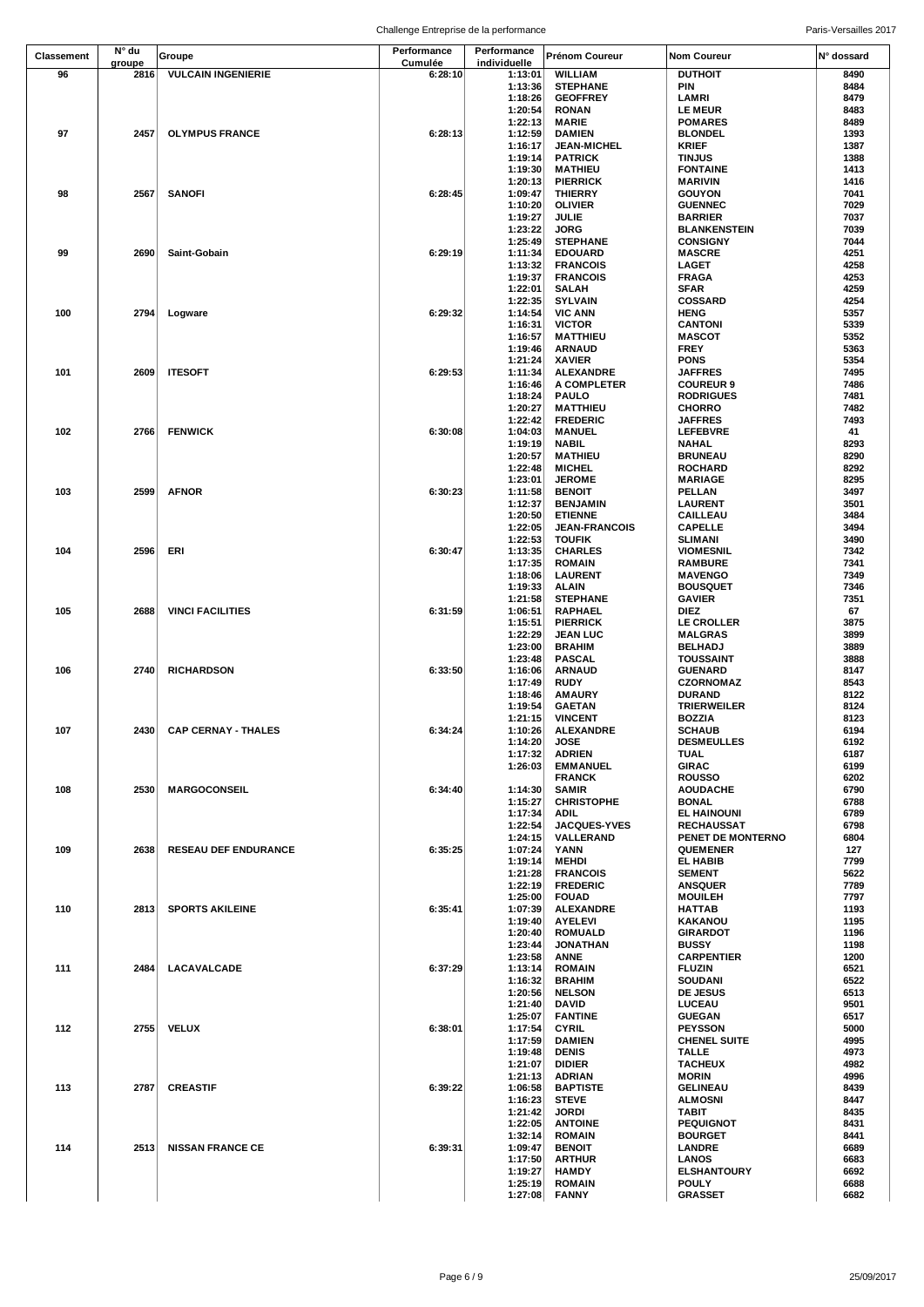|            |                |                             | Challenge Entreprise de la performance |                         |                                    |                                        | Paris-Versailles 2017 |
|------------|----------------|-----------------------------|----------------------------------------|-------------------------|------------------------------------|----------------------------------------|-----------------------|
| Classement | N° du          | Groupe                      | Performance                            | Performance             | Prénom Coureur                     | <b>Nom Coureur</b>                     | N° dossard            |
| 96         | groupe<br>2816 | <b>VULCAIN INGENIERIE</b>   | Cumulée<br>6:28:10                     | individuelle<br>1:13:01 | <b>WILLIAM</b>                     | <b>DUTHOIT</b>                         | 8490                  |
|            |                |                             |                                        | 1:13:36                 | <b>STEPHANE</b>                    | PIN                                    | 8484                  |
|            |                |                             |                                        | 1:18:26                 | <b>GEOFFREY</b>                    | LAMRI                                  | 8479                  |
|            |                |                             |                                        | 1:20:54<br>1:22:13      | <b>RONAN</b><br><b>MARIE</b>       | <b>LE MEUR</b><br><b>POMARES</b>       | 8483<br>8489          |
| 97         | 2457           | <b>OLYMPUS FRANCE</b>       | 6:28:13                                | 1:12:59                 | <b>DAMIEN</b>                      | <b>BLONDEL</b>                         | 1393                  |
|            |                |                             |                                        | 1:16:17                 | <b>JEAN-MICHEL</b>                 | <b>KRIEF</b>                           | 1387                  |
|            |                |                             |                                        | 1:19:14                 | <b>PATRICK</b>                     | <b>TINJUS</b>                          | 1388                  |
|            |                |                             |                                        | 1:19:30<br>1:20:13      | <b>MATHIEU</b><br><b>PIERRICK</b>  | <b>FONTAINE</b><br><b>MARIVIN</b>      | 1413<br>1416          |
| 98         | 2567           | <b>SANOFI</b>               | 6:28:45                                | 1:09:47                 | <b>THIERRY</b>                     | <b>GOUYON</b>                          | 7041                  |
|            |                |                             |                                        | 1:10:20                 | <b>OLIVIER</b>                     | <b>GUENNEC</b>                         | 7029                  |
|            |                |                             |                                        | 1:19:27<br>1:23:22      | <b>JULIE</b><br><b>JORG</b>        | <b>BARRIER</b><br><b>BLANKENSTEIN</b>  | 7037<br>7039          |
|            |                |                             |                                        | 1:25:49                 | <b>STEPHANE</b>                    | <b>CONSIGNY</b>                        | 7044                  |
| 99         | 2690           | Saint-Gobain                | 6:29:19                                | 1:11:34                 | <b>EDOUARD</b>                     | <b>MASCRE</b>                          | 4251                  |
|            |                |                             |                                        | 1:13:32<br>1:19:37      | <b>FRANCOIS</b><br><b>FRANCOIS</b> | <b>LAGET</b>                           | 4258<br>4253          |
|            |                |                             |                                        | 1:22:01                 | <b>SALAH</b>                       | <b>FRAGA</b><br><b>SFAR</b>            | 4259                  |
|            |                |                             |                                        | 1:22:35                 | <b>SYLVAIN</b>                     | <b>COSSARD</b>                         | 4254                  |
| 100        | 2794           | Logware                     | 6:29:32                                | 1:14:54                 | <b>VIC ANN</b>                     | <b>HENG</b>                            | 5357                  |
|            |                |                             |                                        | 1:16:31<br>1:16:57      | <b>VICTOR</b><br><b>MATTHIEU</b>   | <b>CANTONI</b><br><b>MASCOT</b>        | 5339<br>5352          |
|            |                |                             |                                        | 1:19:46                 | <b>ARNAUD</b>                      | <b>FREY</b>                            | 5363                  |
|            |                |                             |                                        | 1:21:24                 | <b>XAVIER</b>                      | <b>PONS</b>                            | 5354                  |
| 101        | 2609           | <b>ITESOFT</b>              | 6:29:53                                | 1:11:34                 | <b>ALEXANDRE</b>                   | <b>JAFFRES</b>                         | 7495                  |
|            |                |                             |                                        | 1:16:46<br>1:18:24      | A COMPLETER<br><b>PAULO</b>        | <b>COUREUR 9</b><br><b>RODRIGUES</b>   | 7486<br>7481          |
|            |                |                             |                                        | 1:20:27                 | <b>MATTHIEU</b>                    | <b>CHORRO</b>                          | 7482                  |
|            |                |                             |                                        | 1:22:42                 | <b>FREDERIC</b>                    | <b>JAFFRES</b>                         | 7493                  |
| 102        | 2766           | <b>FENWICK</b>              | 6:30:08                                | 1:04:03                 | <b>MANUEL</b>                      | <b>LEFEBVRE</b>                        | 41<br>8293            |
|            |                |                             |                                        | 1:19:19<br>1:20:57      | <b>NABIL</b><br><b>MATHIEU</b>     | <b>NAHAL</b><br><b>BRUNEAU</b>         | 8290                  |
|            |                |                             |                                        | 1:22:48                 | <b>MICHEL</b>                      | <b>ROCHARD</b>                         | 8292                  |
|            |                |                             |                                        | 1:23:01                 | <b>JEROME</b>                      | <b>MARIAGE</b>                         | 8295                  |
| 103        | 2599           | <b>AFNOR</b>                | 6:30:23                                | 1:11:58<br>1:12:37      | <b>BENOIT</b><br><b>BENJAMIN</b>   | PELLAN<br><b>LAURENT</b>               | 3497<br>3501          |
|            |                |                             |                                        | 1:20:50                 | <b>ETIENNE</b>                     | CAILLEAU                               | 3484                  |
|            |                |                             |                                        | 1:22:05                 | <b>JEAN-FRANCOIS</b>               | <b>CAPELLE</b>                         | 3494                  |
|            |                |                             |                                        | 1:22:53                 | <b>TOUFIK</b>                      | <b>SLIMANI</b>                         | 3490                  |
| 104        | 2596           | ERI                         | 6:30:47                                | 1:13:35<br>1:17:35      | <b>CHARLES</b><br><b>ROMAIN</b>    | <b>VIOMESNIL</b><br><b>RAMBURE</b>     | 7342<br>7341          |
|            |                |                             |                                        | 1:18:06                 | <b>LAURENT</b>                     | <b>MAVENGO</b>                         | 7349                  |
|            |                |                             |                                        | 1:19:33                 | ALAIN                              | <b>BOUSQUET</b>                        | 7346                  |
|            |                |                             |                                        | 1:21:58                 | <b>STEPHANE</b>                    | <b>GAVIER</b>                          | 7351                  |
| 105        | 2688           | <b>VINCI FACILITIES</b>     | 6:31:59                                | 1:06:51<br>1:15:51      | <b>RAPHAEL</b><br><b>PIERRICK</b>  | DIEZ<br>LE CROLLER                     | 67<br>3875            |
|            |                |                             |                                        | 1:22:29                 | <b>JEAN LUC</b>                    | <b>MALGRAS</b>                         | 3899                  |
|            |                |                             |                                        | 1:23:00                 | <b>BRAHIM</b>                      | <b>BELHADJ</b>                         | 3889                  |
|            | 2740           |                             |                                        | 1:23:48                 | <b>PASCAL</b>                      | <b>TOUSSAINT</b><br><b>GUENARD</b>     | 3888                  |
| 106        |                | <b>RICHARDSON</b>           | 6:33:50                                | 1:16:06<br>1:17:49      | <b>ARNAUD</b><br><b>RUDY</b>       | <b>CZORNOMAZ</b>                       | 8147<br>8543          |
|            |                |                             |                                        | 1:18:46                 | <b>AMAURY</b>                      | <b>DURAND</b>                          | 8122                  |
|            |                |                             |                                        | 1:19:54                 | <b>GAETAN</b>                      | <b>TRIERWEILER</b>                     | 8124                  |
| 107        | 2430           | <b>CAP CERNAY - THALES</b>  | 6:34:24                                | 1:21:15<br>1:10:26      | <b>VINCENT</b><br><b>ALEXANDRE</b> | <b>BOZZIA</b><br><b>SCHAUB</b>         | 8123<br>6194          |
|            |                |                             |                                        | 1:14:20                 | <b>JOSE</b>                        | <b>DESMEULLES</b>                      | 6192                  |
|            |                |                             |                                        | 1:17:32                 | <b>ADRIEN</b>                      | TUAL                                   | 6187                  |
|            |                |                             |                                        | 1:26:03                 | <b>EMMANUEL</b><br><b>FRANCK</b>   | <b>GIRAC</b><br><b>ROUSSO</b>          | 6199<br>6202          |
| 108        | 2530           | <b>MARGOCONSEIL</b>         | 6:34:40                                | 1:14:30                 | <b>SAMIR</b>                       | <b>AOUDACHE</b>                        | 6790                  |
|            |                |                             |                                        | 1:15:27                 | <b>CHRISTOPHE</b>                  | <b>BONAL</b>                           | 6788                  |
|            |                |                             |                                        | 1:17:34                 | ADIL                               | <b>EL HAINOUNI</b>                     | 6789                  |
|            |                |                             |                                        | 1:22:54<br>1:24:15      | <b>JACQUES-YVES</b><br>VALLERAND   | <b>RECHAUSSAT</b><br>PENET DE MONTERNO | 6798<br>6804          |
| 109        | 2638           | <b>RESEAU DEF ENDURANCE</b> | 6:35:25                                | 1:07:24                 | YANN                               | <b>QUEMENER</b>                        | 127                   |
|            |                |                             |                                        | 1:19:14                 | <b>MEHDI</b>                       | EL HABIB                               | 7799                  |
|            |                |                             |                                        | 1:21:28<br>1:22:19      | <b>FRANCOIS</b><br><b>FREDERIC</b> | <b>SEMENT</b><br><b>ANSQUER</b>        | 5622<br>7789          |
|            |                |                             |                                        | 1:25:00                 | <b>FOUAD</b>                       | <b>MOUILEH</b>                         | 7797                  |
| 110        |                | 2813 SPORTS AKILEINE        | 6:35:41                                | 1:07:39                 | <b>ALEXANDRE</b>                   | <b>HATTAB</b>                          | 1193                  |
|            |                |                             |                                        | 1:19:40                 | <b>AYELEVI</b>                     | <b>KAKANOU</b>                         | 1195                  |
|            |                |                             |                                        | 1:20:40<br>1:23:44      | <b>ROMUALD</b><br><b>JONATHAN</b>  | <b>GIRARDOT</b><br><b>BUSSY</b>        | 1196<br>1198          |
|            |                |                             |                                        | 1:23:58                 | ANNE                               | <b>CARPENTIER</b>                      | 1200                  |
| 111        |                | 2484 LACAVALCADE            | 6:37:29                                | 1:13:14                 | <b>ROMAIN</b>                      | <b>FLUZIN</b>                          | 6521                  |
|            |                |                             |                                        | 1:16:32<br>1:20:56      | <b>BRAHIM</b><br><b>NELSON</b>     | <b>SOUDANI</b><br>DE JESUS             | 6522<br>6513          |
|            |                |                             |                                        | 1:21:40                 | <b>DAVID</b>                       | LUCEAU                                 | 9501                  |
|            |                |                             |                                        | 1:25:07                 | <b>FANTINE</b>                     | <b>GUEGAN</b>                          | 6517                  |
| 112        |                | 2755 VELUX                  | 6:38:01                                | 1:17:54                 | <b>CYRIL</b>                       | <b>PEYSSON</b>                         | 5000                  |
|            |                |                             |                                        | 1:17:59<br>1:19:48      | <b>DAMIEN</b><br><b>DENIS</b>      | <b>CHENEL SUITE</b><br><b>TALLE</b>    | 4995<br>4973          |
|            |                |                             |                                        | 1:21:07                 | <b>DIDIER</b>                      | <b>TACHEUX</b>                         | 4982                  |
|            |                |                             |                                        | 1:21:13                 | <b>ADRIAN</b>                      | <b>MORIN</b>                           | 4996                  |
| 113        |                | 2787 CREASTIF               | 6:39:22                                | 1:06:58<br>1:16:23      | <b>BAPTISTE</b><br><b>STEVE</b>    | <b>GELINEAU</b><br><b>ALMOSNI</b>      | 8439<br>8447          |
|            |                |                             |                                        | 1:21:42                 | <b>JORDI</b>                       | TABIT                                  | 8435                  |
|            |                |                             |                                        | 1:22:05                 | <b>ANTOINE</b>                     | <b>PEQUIGNOT</b>                       | 8431                  |
|            |                |                             |                                        | 1:32:14                 | <b>ROMAIN</b>                      | <b>BOURGET</b>                         | 8441                  |
| 114        | 2513           | <b>NISSAN FRANCE CE</b>     | 6:39:31                                | 1:09:47<br>1:17:50      | <b>BENOIT</b><br><b>ARTHUR</b>     | <b>LANDRE</b><br><b>LANOS</b>          | 6689<br>6683          |
|            |                |                             |                                        | 1:19:27                 | <b>HAMDY</b>                       | <b>ELSHANTOURY</b>                     | 6692                  |
|            |                |                             |                                        | 1:25:19                 | <b>ROMAIN</b>                      | <b>POULY</b>                           | 6688                  |
|            |                |                             |                                        | 1:27:08                 | <b>FANNY</b>                       | <b>GRASSET</b>                         | 6682                  |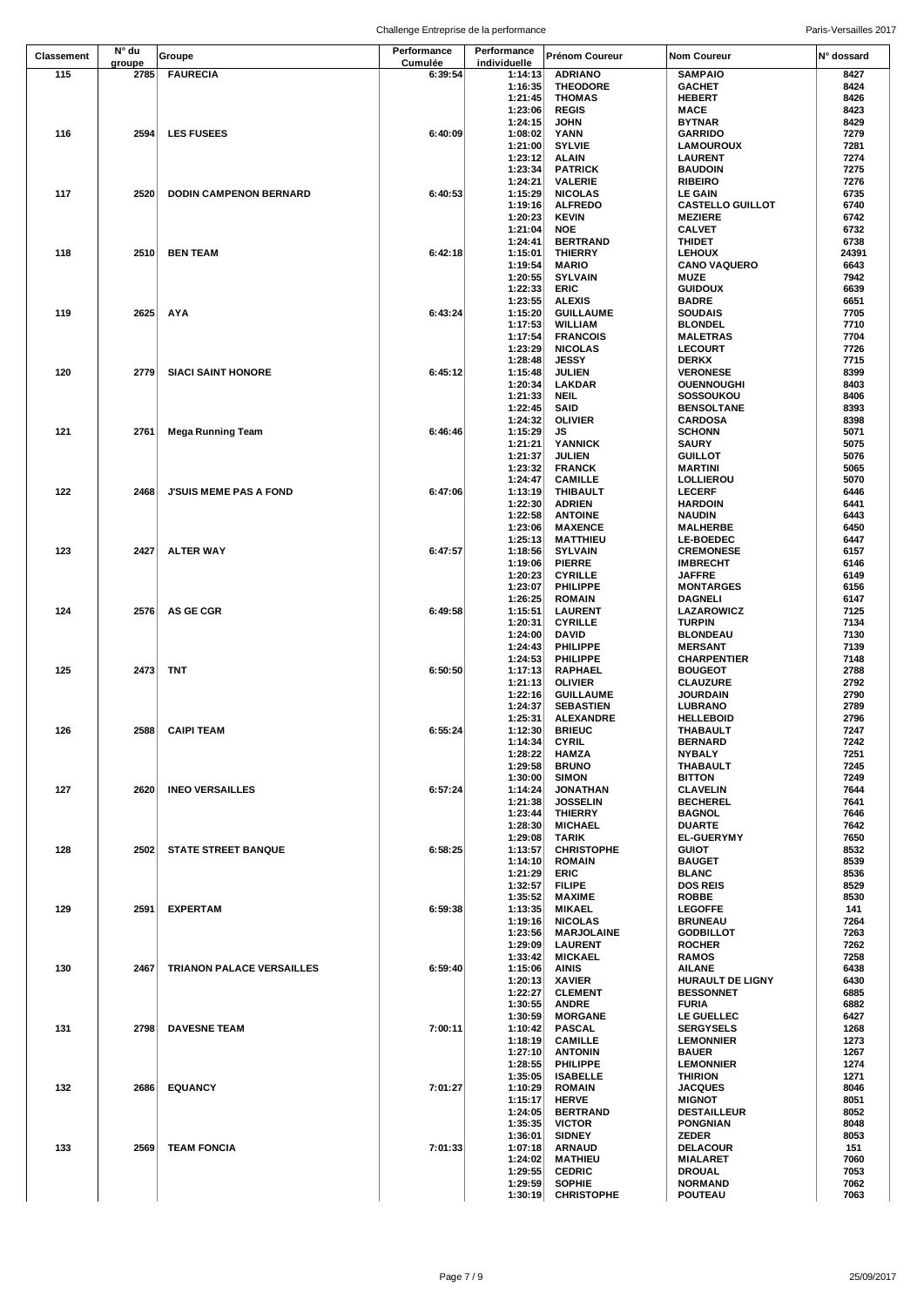| Classement | N° du          | Groupe                           | Performance        | Performance        | Prénom Coureur                      | Nom Coureur                           | N° dossard   |
|------------|----------------|----------------------------------|--------------------|--------------------|-------------------------------------|---------------------------------------|--------------|
| 115        | groupe<br>2785 | <b>FAURECIA</b>                  | Cumulée<br>6:39:54 | individuelle       |                                     | <b>SAMPAIO</b>                        | 8427         |
|            |                |                                  |                    | 1:14:13<br>1:16:35 | <b>ADRIANO</b><br><b>THEODORE</b>   | <b>GACHET</b>                         | 8424         |
|            |                |                                  |                    | 1:21:45            | <b>THOMAS</b>                       | HEBERT                                | 8426         |
|            |                |                                  |                    | 1:23:06            | <b>REGIS</b>                        | <b>MACE</b>                           | 8423         |
|            |                |                                  |                    | 1:24:15            | JOHN                                | <b>BYTNAR</b>                         | 8429         |
| 116        | 2594           | <b>LES FUSEES</b>                | 6:40:09            | 1:08:02            | YANN                                | GARRIDO                               | 7279         |
|            |                |                                  |                    | 1:21:00            | <b>SYLVIE</b>                       | <b>LAMOUROUX</b>                      | 7281         |
|            |                |                                  |                    | 1:23:12            | <b>ALAIN</b>                        | <b>LAURENT</b>                        | 7274         |
|            |                |                                  |                    | 1:23:34<br>1:24:21 | <b>PATRICK</b><br><b>VALERIE</b>    | <b>BAUDOIN</b><br><b>RIBEIRO</b>      | 7275<br>7276 |
| 117        | 2520           | <b>DODIN CAMPENON BERNARD</b>    | 6:40:53            | 1:15:29            | <b>NICOLAS</b>                      | LE GAIN                               | 6735         |
|            |                |                                  |                    | 1:19:16            | <b>ALFREDO</b>                      | <b>CASTELLO GUILLOT</b>               | 6740         |
|            |                |                                  |                    | 1:20:23            | <b>KEVIN</b>                        | <b>MEZIERE</b>                        | 6742         |
|            |                |                                  |                    | 1:21:04            | <b>NOE</b>                          | <b>CALVET</b>                         | 6732         |
|            |                |                                  |                    | 1:24:41            | <b>BERTRAND</b>                     | <b>THIDET</b>                         | 6738         |
| 118        | 2510           | <b>BEN TEAM</b>                  | 6:42:18            | 1:15:01            | <b>THIERRY</b>                      | <b>LEHOUX</b>                         | 24391        |
|            |                |                                  |                    | 1:19:54<br>1:20:55 | <b>MARIO</b><br><b>SYLVAIN</b>      | <b>CANO VAQUERO</b><br><b>MUZE</b>    | 6643<br>7942 |
|            |                |                                  |                    | 1:22:33            | ERIC                                | <b>GUIDOUX</b>                        | 6639         |
|            |                |                                  |                    | 1:23:55            | <b>ALEXIS</b>                       | <b>BADRE</b>                          | 6651         |
| 119        | 2625           | AYA                              | 6:43:24            | 1:15:20            | <b>GUILLAUME</b>                    | SOUDAIS                               | 7705         |
|            |                |                                  |                    | 1:17:53            | <b>WILLIAM</b>                      | <b>BLONDEL</b>                        | 7710         |
|            |                |                                  |                    | 1:17:54            | <b>FRANCOIS</b>                     | <b>MALETRAS</b>                       | 7704         |
|            |                |                                  |                    | 1:23:29            | <b>NICOLAS</b>                      | <b>LECOURT</b>                        | 7726         |
| 120        | 2779           |                                  |                    | 1:28:48            | <b>JESSY</b>                        | <b>DERKX</b>                          | 7715<br>8399 |
|            |                | <b>SIACI SAINT HONORE</b>        | 6:45:12            | 1:15:48<br>1:20:34 | <b>JULIEN</b><br>LAKDAR             | <b>VERONESE</b><br><b>OUENNOUGHI</b>  | 8403         |
|            |                |                                  |                    | 1:21:33            | <b>NEIL</b>                         | SOSSOUKOU                             | 8406         |
|            |                |                                  |                    | 1:22:45            | <b>SAID</b>                         | BENSOLTANE                            | 8393         |
|            |                |                                  |                    | 1:24:32            | <b>OLIVIER</b>                      | CARDOSA                               | 8398         |
| 121        | 2761           | <b>Mega Running Team</b>         | 6:46:46            | 1:15:29            | JS                                  | <b>SCHONN</b>                         | 5071         |
|            |                |                                  |                    | 1:21:21            | YANNICK                             | SAURY                                 | 5075         |
|            |                |                                  |                    | 1:21:37            | <b>JULIEN</b>                       | GUILLOT                               | 5076         |
|            |                |                                  |                    | 1:23:32<br>1:24:47 | <b>FRANCK</b><br><b>CAMILLE</b>     | <b>MARTINI</b><br><b>LOLLIEROU</b>    | 5065<br>5070 |
| 122        | 2468           | <b>J'SUIS MEME PAS A FOND</b>    | 6:47:06            | 1:13:19            | <b>THIBAULT</b>                     | <b>LECERF</b>                         | 6446         |
|            |                |                                  |                    | 1:22:30            | <b>ADRIEN</b>                       | <b>HARDOIN</b>                        | 6441         |
|            |                |                                  |                    | 1:22:58            | <b>ANTOINE</b>                      | <b>NAUDIN</b>                         | 6443         |
|            |                |                                  |                    | 1:23:06            | <b>MAXENCE</b>                      | <b>MALHERBE</b>                       | 6450         |
|            |                |                                  |                    | 1:25:13            | <b>MATTHIEU</b>                     | <b>LE-BOEDEC</b>                      | 6447         |
| 123        | 2427           | <b>ALTER WAY</b>                 | 6:47:57            | 1:18:56            | <b>SYLVAIN</b>                      | <b>CREMONESE</b>                      | 6157         |
|            |                |                                  |                    | 1:19:06<br>1:20:23 | <b>PIERRE</b><br><b>CYRILLE</b>     | <b>IMBRECHT</b><br><b>JAFFRE</b>      | 6146<br>6149 |
|            |                |                                  |                    | 1:23:07            | PHILIPPE                            | <b>MONTARGES</b>                      | 6156         |
|            |                |                                  |                    | 1:26:25            | <b>ROMAIN</b>                       | DAGNELI                               | 6147         |
| 124        | 2576           | <b>AS GE CGR</b>                 | 6:49:58            | 1:15:51            | <b>LAURENT</b>                      | LAZAROWICZ                            | 7125         |
|            |                |                                  |                    | 1:20:31            | <b>CYRILLE</b>                      | <b>TURPIN</b>                         | 7134         |
|            |                |                                  |                    | 1:24:00            | <b>DAVID</b>                        | <b>BLONDEAU</b>                       | 7130         |
|            |                |                                  |                    | 1:24:43            | PHILIPPE                            | <b>MERSANT</b>                        | 7139         |
| 125        | 2473           | <b>TNT</b>                       | 6:50:50            | 1:24:53<br>1:17:13 | PHILIPPE<br><b>RAPHAEL</b>          | CHARPENTIER<br><b>BOUGEOT</b>         | 7148<br>2788 |
|            |                |                                  |                    | 1:21:13            | <b>OLIVIER</b>                      | <b>CLAUZURE</b>                       | 2792         |
|            |                |                                  |                    | 1:22:16            | <b>GUILLAUME</b>                    | <b>JOURDAIN</b>                       | 2790         |
|            |                |                                  |                    | 1:24:37            | <b>SEBASTIEN</b>                    | LUBRANO                               | 2789         |
|            |                |                                  |                    | 1:25:31            | <b>ALEXANDRE</b>                    | <b>HELLEBOID</b>                      | 2796         |
| 126        |                | 2588 CAIPI TEAM                  | 6:55:24            | 1:12:30            | <b>BRIEUC</b>                       | THABAULT                              | 7247         |
|            |                |                                  |                    | 1:14:34<br>1:28:22 | <b>CYRIL</b><br><b>HAMZA</b>        | <b>BERNARD</b><br><b>NYBALY</b>       | 7242<br>7251 |
|            |                |                                  |                    | 1:29:58            | <b>BRUNO</b>                        | <b>THABAULT</b>                       | 7245         |
|            |                |                                  |                    | 1:30:00            | <b>SIMON</b>                        | <b>BITTON</b>                         | 7249         |
| 127        | 2620           | <b>INEO VERSAILLES</b>           | 6:57:24            | 1:14:24            | <b>JONATHAN</b>                     | <b>CLAVELIN</b>                       | 7644         |
|            |                |                                  |                    | 1:21:38            | <b>JOSSELIN</b>                     | <b>BECHEREL</b>                       | 7641         |
|            |                |                                  |                    | 1:23:44            | <b>THIERRY</b>                      | <b>BAGNOL</b>                         | 7646         |
|            |                |                                  |                    | 1:28:30            | <b>MICHAEL</b>                      | <b>DUARTE</b>                         | 7642         |
| 128        | 2502           | <b>STATE STREET BANQUE</b>       | 6:58:25            | 1:29:08<br>1:13:57 | TARIK<br><b>CHRISTOPHE</b>          | <b>EL-GUERYMY</b><br>GUIOT            | 7650<br>8532 |
|            |                |                                  |                    | 1:14:10            | <b>ROMAIN</b>                       | <b>BAUGET</b>                         | 8539         |
|            |                |                                  |                    | 1:21:29            | ERIC                                | <b>BLANC</b>                          | 8536         |
|            |                |                                  |                    | 1:32:57            | <b>FILIPE</b>                       | <b>DOS REIS</b>                       | 8529         |
|            |                |                                  |                    | 1:35:52            | <b>MAXIME</b>                       | <b>ROBBE</b>                          | 8530         |
| 129        |                | 2591 EXPERTAM                    | 6:59:38            | 1:13:35            | <b>MIKAEL</b>                       | <b>LEGOFFE</b>                        | 141          |
|            |                |                                  |                    | 1:19:16            | <b>NICOLAS</b>                      | <b>BRUNEAU</b>                        | 7264         |
|            |                |                                  |                    | 1:23:56<br>1:29:09 | <b>MARJOLAINE</b><br><b>LAURENT</b> | <b>GODBILLOT</b><br><b>ROCHER</b>     | 7263<br>7262 |
|            |                |                                  |                    | 1:33:42            | <b>MICKAEL</b>                      | <b>RAMOS</b>                          | 7258         |
| 130        | 2467           | <b>TRIANON PALACE VERSAILLES</b> | 6:59:40            | 1:15:06            | <b>AINIS</b>                        | <b>AILANE</b>                         | 6438         |
|            |                |                                  |                    | 1:20:13            | <b>XAVIER</b>                       | <b>HURAULT DE LIGNY</b>               | 6430         |
|            |                |                                  |                    | 1:22:27            | <b>CLEMENT</b>                      | <b>BESSONNET</b>                      | 6885         |
|            |                |                                  |                    | 1:30:55            | <b>ANDRE</b>                        | <b>FURIA</b>                          | 6882         |
| 131        | 2798           | <b>DAVESNE TEAM</b>              | 7:00:11            | 1:30:59<br>1:10:42 | <b>MORGANE</b><br><b>PASCAL</b>     | <b>LE GUELLEC</b><br><b>SERGYSELS</b> | 6427<br>1268 |
|            |                |                                  |                    | 1:18:19            | <b>CAMILLE</b>                      | <b>LEMONNIER</b>                      | 1273         |
|            |                |                                  |                    | 1:27:10            | <b>ANTONIN</b>                      | <b>BAUER</b>                          | 1267         |
|            |                |                                  |                    | 1:28:55            | PHILIPPE                            | <b>LEMONNIER</b>                      | 1274         |
|            |                |                                  |                    | 1:35:05            | <b>ISABELLE</b>                     | <b>THIRION</b>                        | 1271         |
| 132        | 2686           | <b>EQUANCY</b>                   | 7:01:27            | 1:10:29            | <b>ROMAIN</b>                       | <b>JACQUES</b>                        | 8046         |
|            |                |                                  |                    | 1:15:17            | <b>HERVE</b>                        | <b>MIGNOT</b>                         | 8051         |
|            |                |                                  |                    | 1:24:05<br>1:35:35 | <b>BERTRAND</b><br><b>VICTOR</b>    | <b>DESTAILLEUR</b><br><b>PONGNIAN</b> | 8052<br>8048 |
|            |                |                                  |                    | 1:36:01            | <b>SIDNEY</b>                       | <b>ZEDER</b>                          | 8053         |
| 133        | 2569           | <b>TEAM FONCIA</b>               | 7:01:33            | 1:07:18            | <b>ARNAUD</b>                       | <b>DELACOUR</b>                       | 151          |
|            |                |                                  |                    | 1:24:02            | <b>MATHIEU</b>                      | <b>MIALARET</b>                       | 7060         |
|            |                |                                  |                    | 1:29:55            | <b>CEDRIC</b>                       | <b>DROUAL</b>                         | 7053         |
|            |                |                                  |                    | 1:29:59            | <b>SOPHIE</b>                       | <b>NORMAND</b>                        | 7062         |
|            |                |                                  |                    | 1:30:19            | <b>CHRISTOPHE</b>                   | <b>POUTEAU</b>                        | 7063         |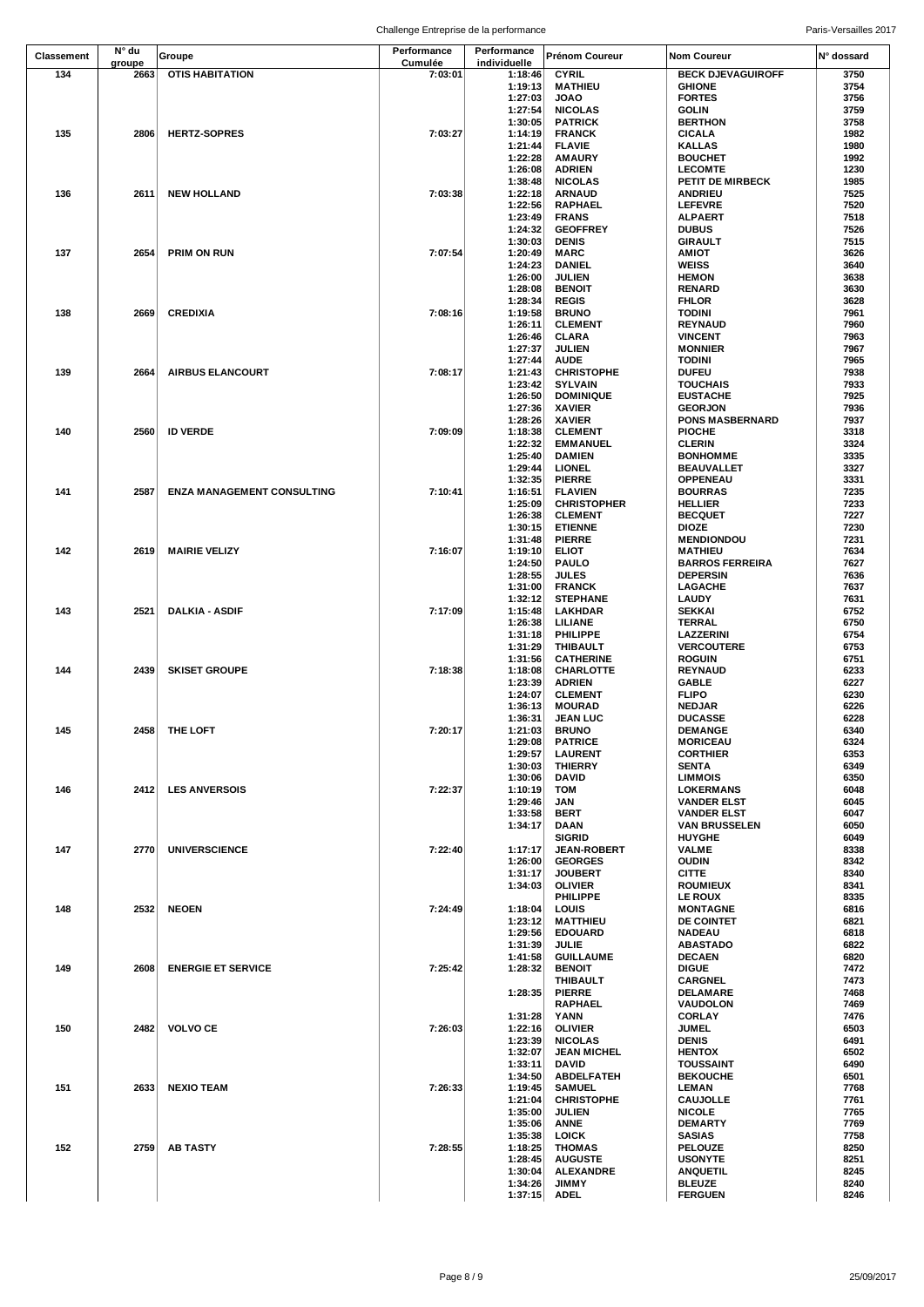|            | N° du  |                                 | Performance | Performance        |                                    |                                      |              |
|------------|--------|---------------------------------|-------------|--------------------|------------------------------------|--------------------------------------|--------------|
| Classement | groupe | Groupe                          | Cumulée     | individuelle       | <b>Prénom Coureur</b>              | Nom Coureur                          | N° dossard   |
| 134        |        | 2663 OTIS HABITATION            | 7:03:01     | 1:18:46            | <b>CYRIL</b>                       | <b>BECK DJEVAGUIROFF</b>             | 3750         |
|            |        |                                 |             | 1:19:13            | <b>MATHIEU</b>                     | <b>GHIONE</b>                        | 3754         |
|            |        |                                 |             | 1:27:03            | <b>JOAO</b>                        | <b>FORTES</b>                        | 3756         |
|            |        |                                 |             | 1:27:54            | <b>NICOLAS</b>                     | <b>GOLIN</b>                         | 3759         |
|            |        |                                 |             | 1:30:05            | <b>PATRICK</b>                     | <b>BERTHON</b>                       | 3758         |
| 135        |        | 2806 HERTZ-SOPRES               | 7:03:27     | 1:14:19            | <b>FRANCK</b>                      | <b>CICALA</b>                        | 1982         |
|            |        |                                 |             | 1:21:44            | <b>FLAVIE</b>                      | <b>KALLAS</b><br><b>BOUCHET</b>      | 1980         |
|            |        |                                 |             | 1:22:28<br>1:26:08 | <b>AMAURY</b><br><b>ADRIEN</b>     | <b>LECOMTE</b>                       | 1992<br>1230 |
|            |        |                                 |             | 1:38:48            | <b>NICOLAS</b>                     | PETIT DE MIRBECK                     | 1985         |
| 136        |        | 2611 NEW HOLLAND                | 7:03:38     | 1:22:18            | <b>ARNAUD</b>                      | <b>ANDRIEU</b>                       | 7525         |
|            |        |                                 |             | 1:22:56            | <b>RAPHAEL</b>                     | <b>LEFEVRE</b>                       | 7520         |
|            |        |                                 |             | 1:23:49            | <b>FRANS</b>                       | <b>ALPAERT</b>                       | 7518         |
|            |        |                                 |             | 1:24:32            | <b>GEOFFREY</b>                    | <b>DUBUS</b>                         | 7526         |
|            |        |                                 |             | 1:30:03            | <b>DENIS</b>                       | <b>GIRAULT</b>                       | 7515         |
| 137        |        | 2654 PRIM ON RUN                | 7:07:54     | 1:20:49            | <b>MARC</b>                        | <b>AMIOT</b>                         | 3626         |
|            |        |                                 |             | 1:24:23            | <b>DANIEL</b>                      | <b>WEISS</b>                         | 3640         |
|            |        |                                 |             | 1:26:00            | <b>JULIEN</b>                      | <b>HEMON</b>                         | 3638         |
|            |        |                                 |             | 1:28:08            | <b>BENOIT</b>                      | <b>RENARD</b>                        | 3630         |
|            |        |                                 |             | 1:28:34            | <b>REGIS</b>                       | <b>FHLOR</b>                         | 3628         |
| 138        |        | 2669 CREDIXIA                   | 7:08:16     | 1:19:58            | <b>BRUNO</b>                       | <b>TODINI</b>                        | 7961         |
|            |        |                                 |             | 1:26:11            | <b>CLEMENT</b>                     | <b>REYNAUD</b><br><b>VINCENT</b>     | 7960<br>7963 |
|            |        |                                 |             | 1:26:46<br>1:27:37 | <b>CLARA</b><br><b>JULIEN</b>      | <b>MONNIER</b>                       | 7967         |
|            |        |                                 |             | 1:27:44            | <b>AUDE</b>                        | <b>TODINI</b>                        | 7965         |
| 139        |        | 2664 AIRBUS ELANCOURT           | 7:08:17     | 1:21:43            | <b>CHRISTOPHE</b>                  | <b>DUFEU</b>                         | 7938         |
|            |        |                                 |             | 1:23:42            | <b>SYLVAIN</b>                     | <b>TOUCHAIS</b>                      | 7933         |
|            |        |                                 |             | 1:26:50            | <b>DOMINIQUE</b>                   | <b>EUSTACHE</b>                      | 7925         |
|            |        |                                 |             | 1:27:36            | <b>XAVIER</b>                      | <b>GEORJON</b>                       | 7936         |
|            |        |                                 |             | 1:28:26            | <b>XAVIER</b>                      | <b>PONS MASBERNARD</b>               | 7937         |
| 140        |        | 2560 ID VERDE                   | 7:09:09     | 1:18:38            | <b>CLEMENT</b>                     | <b>PIOCHE</b>                        | 3318         |
|            |        |                                 |             | 1:22:32            | <b>EMMANUEL</b>                    | <b>CLERIN</b>                        | 3324         |
|            |        |                                 |             | 1:25:40            | <b>DAMIEN</b>                      | <b>BONHOMME</b>                      | 3335         |
|            |        |                                 |             | 1:29:44            | <b>LIONEL</b>                      | <b>BEAUVALLET</b>                    | 3327         |
|            |        |                                 |             | 1:32:35            | <b>PIERRE</b>                      | <b>OPPENEAU</b>                      | 3331         |
| 141        |        | 2587 ENZA MANAGEMENT CONSULTING | 7:10:41     | 1:16:51            | <b>FLAVIEN</b>                     | <b>BOURRAS</b>                       | 7235         |
|            |        |                                 |             | 1:25:09            | <b>CHRISTOPHER</b>                 | <b>HELLIER</b>                       | 7233         |
|            |        |                                 |             | 1:26:38            | <b>CLEMENT</b>                     | <b>BECQUET</b>                       | 7227         |
|            |        |                                 |             | 1:30:15            | <b>ETIENNE</b>                     | <b>DIOZE</b>                         | 7230<br>7231 |
| 142        |        | 2619 MAIRIE VELIZY              | 7:16:07     | 1:31:48<br>1:19:10 | <b>PIERRE</b><br><b>ELIOT</b>      | <b>MENDIONDOU</b><br><b>MATHIEU</b>  | 7634         |
|            |        |                                 |             | 1:24:50            | PAULO                              | <b>BARROS FERREIRA</b>               | 7627         |
|            |        |                                 |             | 1:28:55            | <b>JULES</b>                       | <b>DEPERSIN</b>                      | 7636         |
|            |        |                                 |             | 1:31:00            | <b>FRANCK</b>                      | LAGACHE                              | 7637         |
|            |        |                                 |             | 1:32:12            | <b>STEPHANE</b>                    | <b>LAUDY</b>                         | 7631         |
| 143        |        | 2521 DALKIA - ASDIF             | 7:17:09     | 1:15:48            | LAKHDAR                            | <b>SEKKAI</b>                        | 6752         |
|            |        |                                 |             | 1:26:38            | LILIANE                            | <b>TERRAL</b>                        | 6750         |
|            |        |                                 |             | 1:31:18            | <b>PHILIPPE</b>                    | LAZZERINI                            | 6754         |
|            |        |                                 |             | 1:31:29            | THIBAULT                           | <b>VERCOUTERE</b>                    | 6753         |
|            |        |                                 |             | 1:31:56            | <b>CATHERINE</b>                   | <b>ROGUIN</b>                        | 6751         |
| 144        |        | 2439 SKISET GROUPE              | 7:18:38     | 1:18:08            | <b>CHARLOTTE</b>                   | <b>REYNAUD</b>                       | 6233         |
|            |        |                                 |             | 1:23:39            | <b>ADRIEN</b>                      | <b>GABLE</b>                         | 6227         |
|            |        |                                 |             | 1:24:07            | <b>CLEMENT</b>                     | <b>FLIPO</b>                         | 6230         |
|            |        |                                 |             | 1:36:13            | <b>MOURAD</b>                      | <b>NEDJAR</b>                        | 6226         |
|            |        |                                 | 7:20:17     | 1:36:31            | <b>JEAN LUC</b>                    | <b>DUCASSE</b>                       | 6228         |
| 145        |        | 2458 THE LOFT                   |             | 1:21:03<br>1:29:08 | <b>BRUNO</b><br><b>PATRICE</b>     | <b>DEMANGE</b><br><b>MORICEAU</b>    | 6340<br>6324 |
|            |        |                                 |             | 1:29:57            | <b>LAURENT</b>                     | <b>CORTHIER</b>                      | 6353         |
|            |        |                                 |             | 1:30:03            | <b>THIERRY</b>                     | <b>SENTA</b>                         | 6349         |
|            |        |                                 |             | 1:30:06            | <b>DAVID</b>                       | <b>LIMMOIS</b>                       | 6350         |
| 146        |        | 2412 LES ANVERSOIS              | 7:22:37     | 1:10:19            | <b>TOM</b>                         | <b>LOKERMANS</b>                     | 6048         |
|            |        |                                 |             | 1:29:46            | JAN                                | <b>VANDER ELST</b>                   | 6045         |
|            |        |                                 |             | 1:33:58            | BERT                               | <b>VANDER ELST</b>                   | 6047         |
|            |        |                                 |             | 1:34:17            | DAAN                               | <b>VAN BRUSSELEN</b>                 | 6050         |
|            |        |                                 |             |                    | <b>SIGRID</b>                      | <b>HUYGHE</b>                        | 6049         |
| 147        | 2770   | <b>UNIVERSCIENCE</b>            | 7:22:40     | 1:17:17            | <b>JEAN-ROBERT</b>                 | <b>VALME</b>                         | 8338         |
|            |        |                                 |             | 1:26:00            | <b>GEORGES</b>                     | <b>OUDIN</b>                         | 8342         |
|            |        |                                 |             | 1:31:17            | <b>JOUBERT</b>                     | <b>CITTE</b>                         | 8340         |
|            |        |                                 |             | 1:34:03            | <b>OLIVIER</b><br><b>PHILIPPE</b>  | <b>ROUMIEUX</b><br><b>LE ROUX</b>    | 8341<br>8335 |
|            | 2532   | <b>NEOEN</b>                    | 7:24:49     | 1:18:04            | LOUIS                              |                                      |              |
| 148        |        |                                 |             | 1:23:12            | <b>MATTHIEU</b>                    | <b>MONTAGNE</b><br><b>DE COINTET</b> | 6816<br>6821 |
|            |        |                                 |             | 1:29:56            | <b>EDOUARD</b>                     | <b>NADEAU</b>                        | 6818         |
|            |        |                                 |             | 1:31:39            | <b>JULIE</b>                       | <b>ABASTADO</b>                      | 6822         |
|            |        |                                 |             | 1:41:58            | <b>GUILLAUME</b>                   | <b>DECAEN</b>                        | 6820         |
| 149        | 2608   | <b>ENERGIE ET SERVICE</b>       | 7:25:42     | 1:28:32            | <b>BENOIT</b>                      | <b>DIGUE</b>                         | 7472         |
|            |        |                                 |             |                    | <b>THIBAULT</b>                    | <b>CARGNEL</b>                       | 7473         |
|            |        |                                 |             | 1:28:35            | <b>PIERRE</b>                      | DELAMARE                             | 7468         |
|            |        |                                 |             |                    | <b>RAPHAEL</b>                     | VAUDOLON                             | 7469         |
|            |        |                                 |             | 1:31:28            | YANN                               | <b>CORLAY</b>                        | 7476         |
| 150        | 2482   | <b>VOLVO CE</b>                 | 7:26:03     | 1:22:16            | <b>OLIVIER</b>                     | <b>JUMEL</b>                         | 6503         |
|            |        |                                 |             | 1:23:39            | <b>NICOLAS</b>                     | <b>DENIS</b>                         | 6491         |
|            |        |                                 |             | 1:32:07            | <b>JEAN MICHEL</b>                 | <b>HENTOX</b>                        | 6502         |
|            |        |                                 |             | 1:33:11            | <b>DAVID</b>                       | <b>TOUSSAINT</b>                     | 6490         |
|            |        |                                 |             | 1:34:50            | ABDELFATEH                         | <b>BEKOUCHE</b>                      | 6501         |
| 151        | 2633   | <b>NEXIO TEAM</b>               | 7:26:33     | 1:19:45            | <b>SAMUEL</b><br><b>CHRISTOPHE</b> | <b>LEMAN</b><br><b>CAUJOLLE</b>      | 7768<br>7761 |
|            |        |                                 |             | 1:21:04<br>1:35:00 | <b>JULIEN</b>                      | <b>NICOLE</b>                        | 7765         |
|            |        |                                 |             | 1:35:06            | <b>ANNE</b>                        | <b>DEMARTY</b>                       | 7769         |
|            |        |                                 |             | 1:35:38            | <b>LOICK</b>                       | <b>SASIAS</b>                        | 7758         |
| 152        | 2759   | <b>AB TASTY</b>                 | 7:28:55     | 1:18:25            | <b>THOMAS</b>                      | PELOUZE                              | 8250         |
|            |        |                                 |             | 1:28:45            | <b>AUGUSTE</b>                     | <b>USONYTE</b>                       | 8251         |
|            |        |                                 |             | 1:30:04            | <b>ALEXANDRE</b>                   | ANQUETIL                             | 8245         |
|            |        |                                 |             | 1:34:26            | <b>JIMMY</b>                       | <b>BLEUZE</b>                        | 8240         |
|            |        |                                 |             | 1:37:15            | <b>ADEL</b>                        | <b>FERGUEN</b>                       | 8246         |